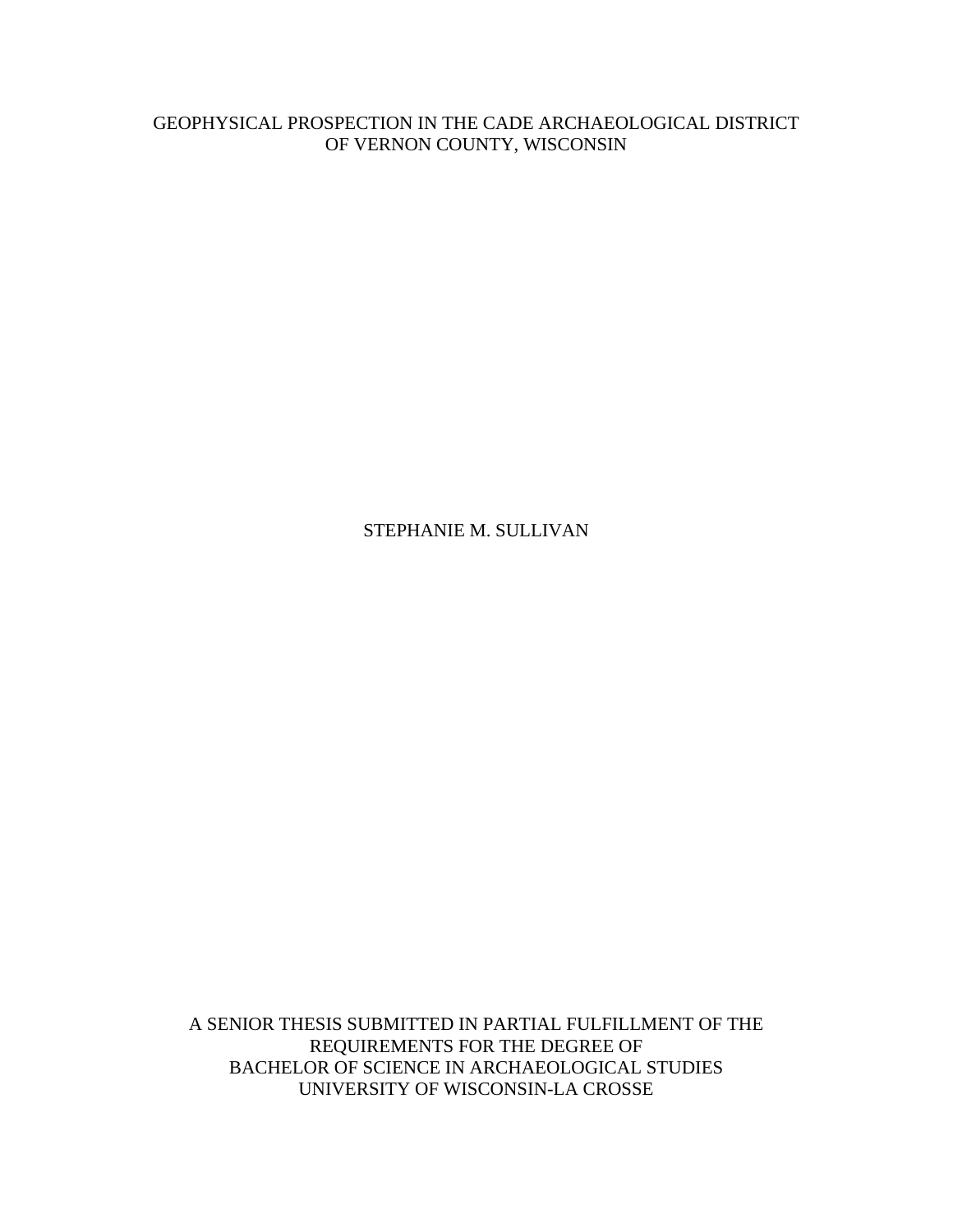# GEOPHYSICAL PROSPECTION IN THE CADE ARCHAEOLOGICAL DISTRICT OF VERNON COUNTY, WISCONSIN

# STEPHANIE M. SULLIVAN

A SENIOR THESIS SUBMITTED IN PARTIAL FULFILLMENT OF THE REQUIREMENTS FOR THE DEGREE OF BACHELOR OF SCIENCE IN ARCHAEOLOGICAL STUDIES UNIVERSITY OF WISCONSIN-LA CROSSE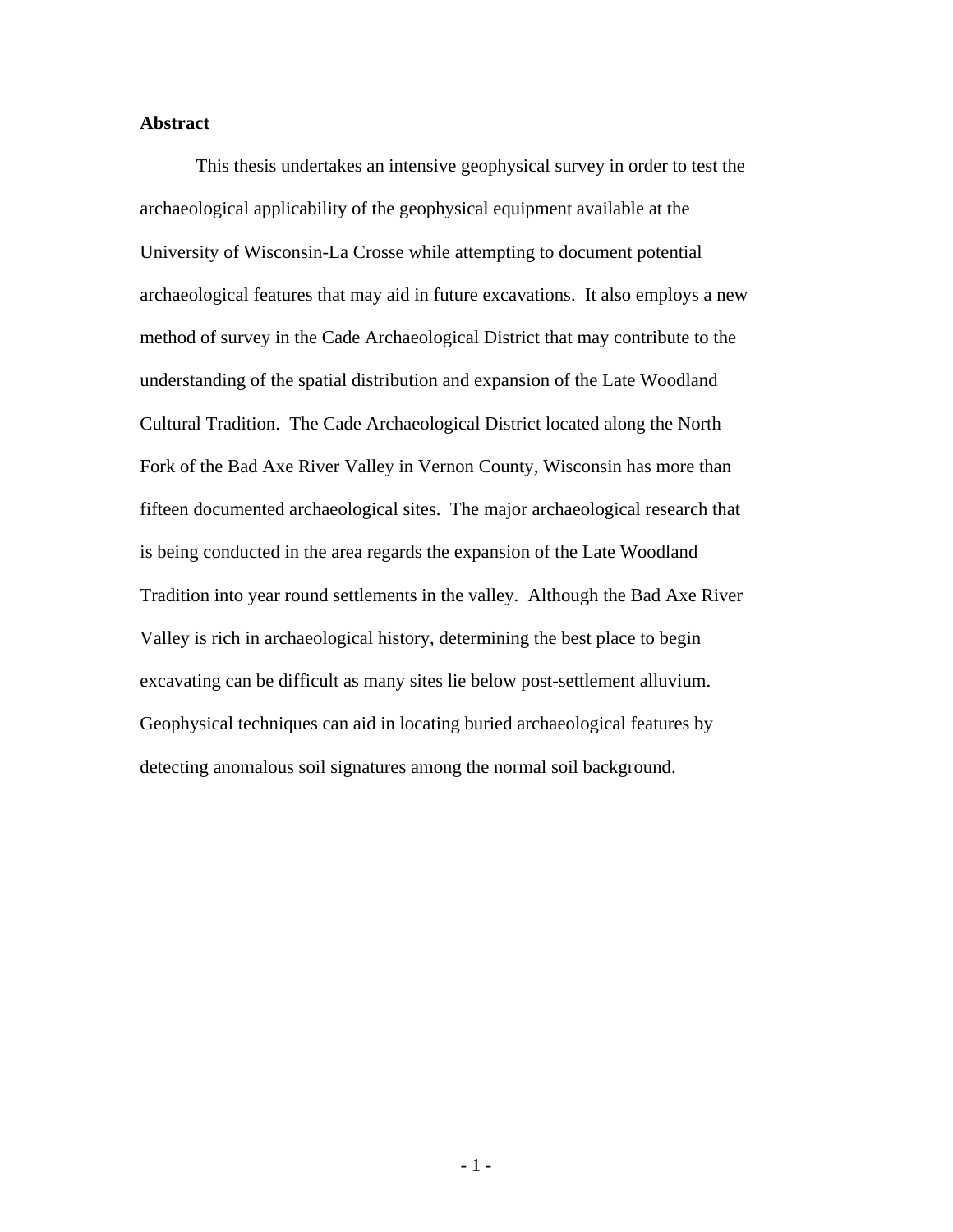## **Abstract**

This thesis undertakes an intensive geophysical survey in order to test the archaeological applicability of the geophysical equipment available at the University of Wisconsin-La Crosse while attempting to document potential archaeological features that may aid in future excavations. It also employs a new method of survey in the Cade Archaeological District that may contribute to the understanding of the spatial distribution and expansion of the Late Woodland Cultural Tradition. The Cade Archaeological District located along the North Fork of the Bad Axe River Valley in Vernon County, Wisconsin has more than fifteen documented archaeological sites. The major archaeological research that is being conducted in the area regards the expansion of the Late Woodland Tradition into year round settlements in the valley. Although the Bad Axe River Valley is rich in archaeological history, determining the best place to begin excavating can be difficult as many sites lie below post-settlement alluvium. Geophysical techniques can aid in locating buried archaeological features by detecting anomalous soil signatures among the normal soil background.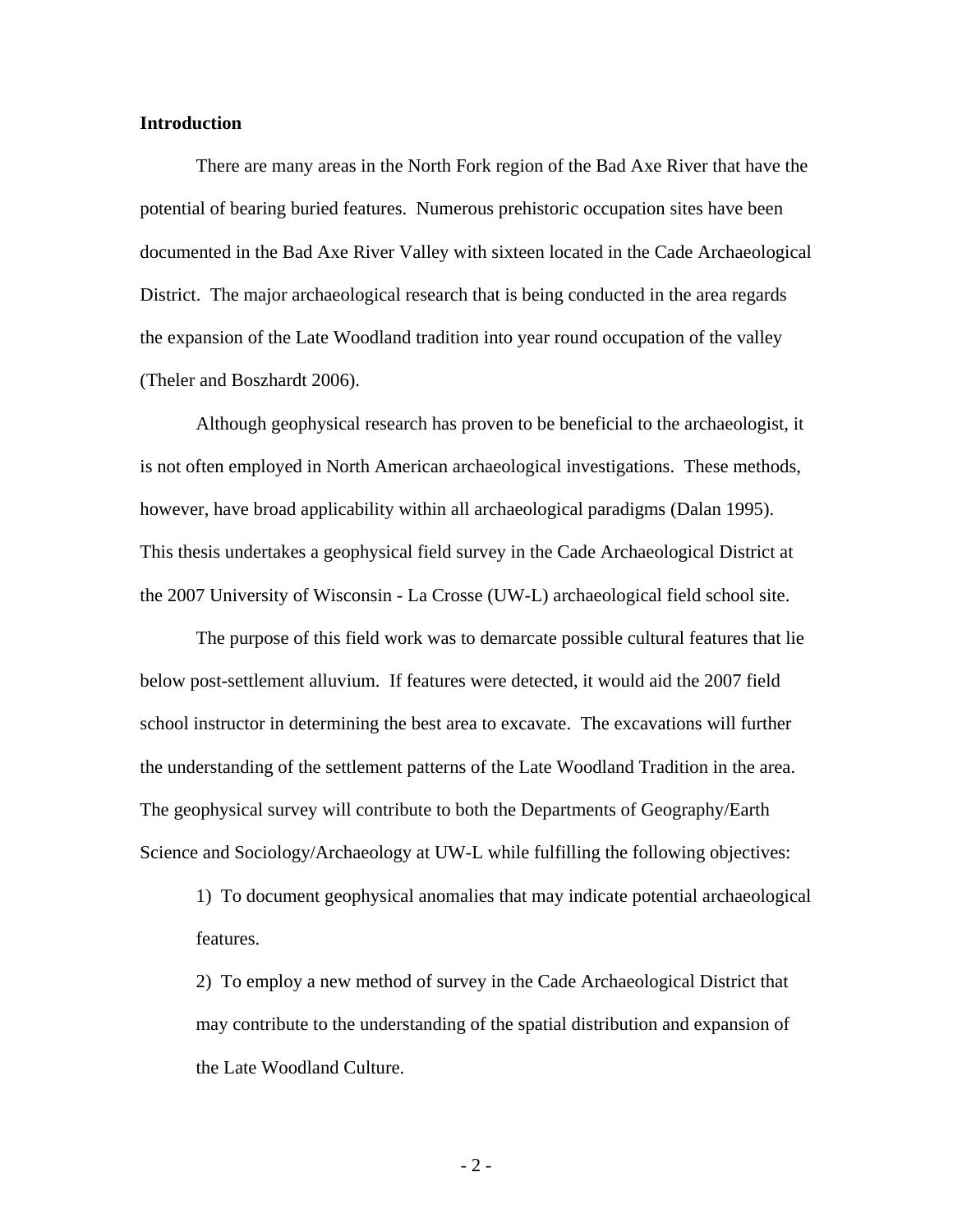#### **Introduction**

There are many areas in the North Fork region of the Bad Axe River that have the potential of bearing buried features. Numerous prehistoric occupation sites have been documented in the Bad Axe River Valley with sixteen located in the Cade Archaeological District. The major archaeological research that is being conducted in the area regards the expansion of the Late Woodland tradition into year round occupation of the valley (Theler and Boszhardt 2006).

 Although geophysical research has proven to be beneficial to the archaeologist, it is not often employed in North American archaeological investigations. These methods, however, have broad applicability within all archaeological paradigms (Dalan 1995). This thesis undertakes a geophysical field survey in the Cade Archaeological District at the 2007 University of Wisconsin - La Crosse (UW-L) archaeological field school site.

 The purpose of this field work was to demarcate possible cultural features that lie below post-settlement alluvium. If features were detected, it would aid the 2007 field school instructor in determining the best area to excavate. The excavations will further the understanding of the settlement patterns of the Late Woodland Tradition in the area. The geophysical survey will contribute to both the Departments of Geography/Earth Science and Sociology/Archaeology at UW-L while fulfilling the following objectives:

1) To document geophysical anomalies that may indicate potential archaeological features.

2) To employ a new method of survey in the Cade Archaeological District that may contribute to the understanding of the spatial distribution and expansion of the Late Woodland Culture.

- 2 -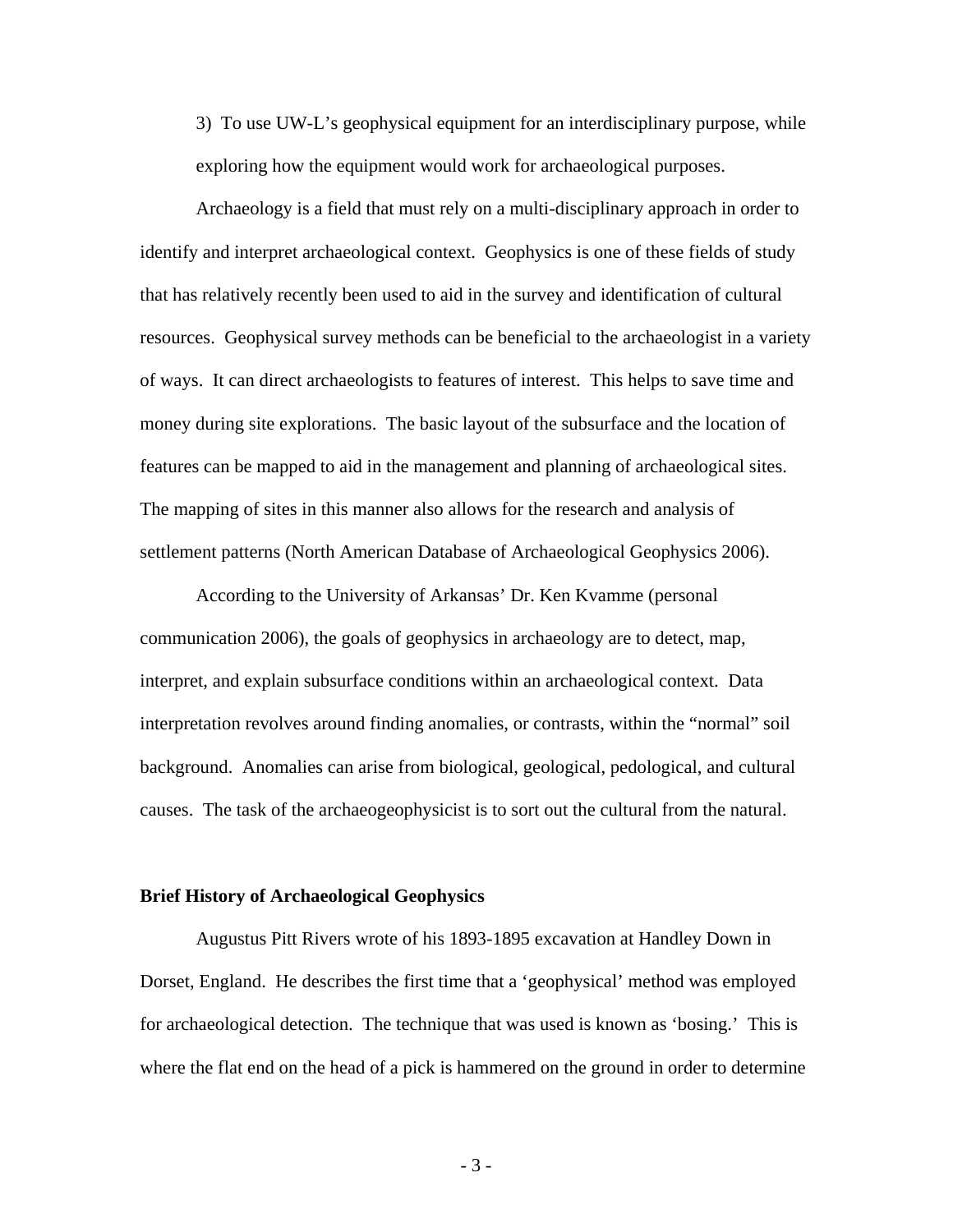3) To use UW-L's geophysical equipment for an interdisciplinary purpose, while exploring how the equipment would work for archaeological purposes.

Archaeology is a field that must rely on a multi-disciplinary approach in order to identify and interpret archaeological context. Geophysics is one of these fields of study that has relatively recently been used to aid in the survey and identification of cultural resources. Geophysical survey methods can be beneficial to the archaeologist in a variety of ways. It can direct archaeologists to features of interest. This helps to save time and money during site explorations. The basic layout of the subsurface and the location of features can be mapped to aid in the management and planning of archaeological sites. The mapping of sites in this manner also allows for the research and analysis of settlement patterns (North American Database of Archaeological Geophysics 2006).

According to the University of Arkansas' Dr. Ken Kvamme (personal communication 2006), the goals of geophysics in archaeology are to detect, map, interpret, and explain subsurface conditions within an archaeological context. Data interpretation revolves around finding anomalies, or contrasts, within the "normal" soil background. Anomalies can arise from biological, geological, pedological, and cultural causes. The task of the archaeogeophysicist is to sort out the cultural from the natural.

#### **Brief History of Archaeological Geophysics**

Augustus Pitt Rivers wrote of his 1893-1895 excavation at Handley Down in Dorset, England. He describes the first time that a 'geophysical' method was employed for archaeological detection. The technique that was used is known as 'bosing.' This is where the flat end on the head of a pick is hammered on the ground in order to determine

- 3 -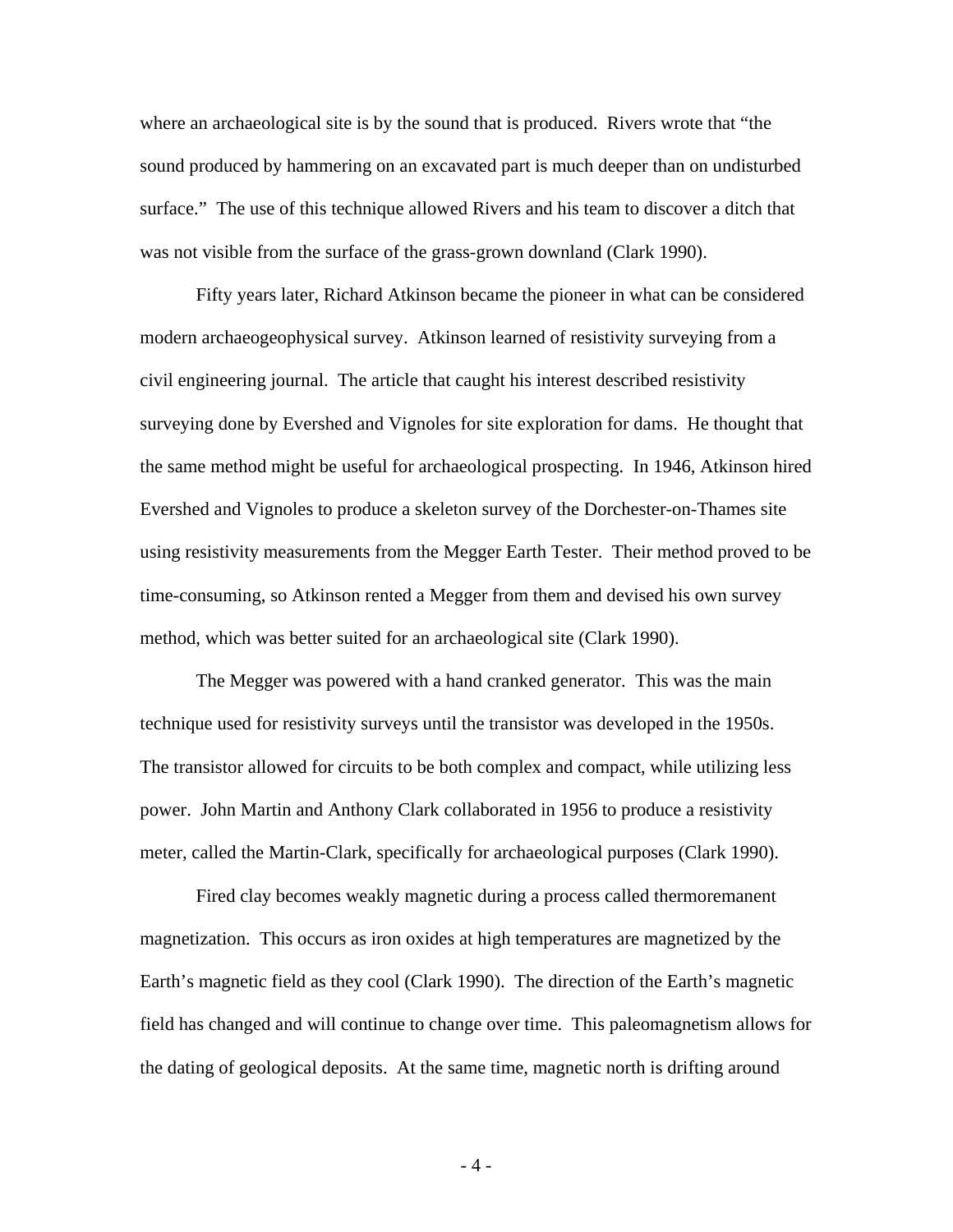where an archaeological site is by the sound that is produced. Rivers wrote that "the sound produced by hammering on an excavated part is much deeper than on undisturbed surface." The use of this technique allowed Rivers and his team to discover a ditch that was not visible from the surface of the grass-grown downland (Clark 1990).

 Fifty years later, Richard Atkinson became the pioneer in what can be considered modern archaeogeophysical survey. Atkinson learned of resistivity surveying from a civil engineering journal. The article that caught his interest described resistivity surveying done by Evershed and Vignoles for site exploration for dams. He thought that the same method might be useful for archaeological prospecting. In 1946, Atkinson hired Evershed and Vignoles to produce a skeleton survey of the Dorchester-on-Thames site using resistivity measurements from the Megger Earth Tester. Their method proved to be time-consuming, so Atkinson rented a Megger from them and devised his own survey method, which was better suited for an archaeological site (Clark 1990).

 The Megger was powered with a hand cranked generator. This was the main technique used for resistivity surveys until the transistor was developed in the 1950s. The transistor allowed for circuits to be both complex and compact, while utilizing less power. John Martin and Anthony Clark collaborated in 1956 to produce a resistivity meter, called the Martin-Clark, specifically for archaeological purposes (Clark 1990).

 Fired clay becomes weakly magnetic during a process called thermoremanent magnetization. This occurs as iron oxides at high temperatures are magnetized by the Earth's magnetic field as they cool (Clark 1990). The direction of the Earth's magnetic field has changed and will continue to change over time. This paleomagnetism allows for the dating of geological deposits. At the same time, magnetic north is drifting around

- 4 -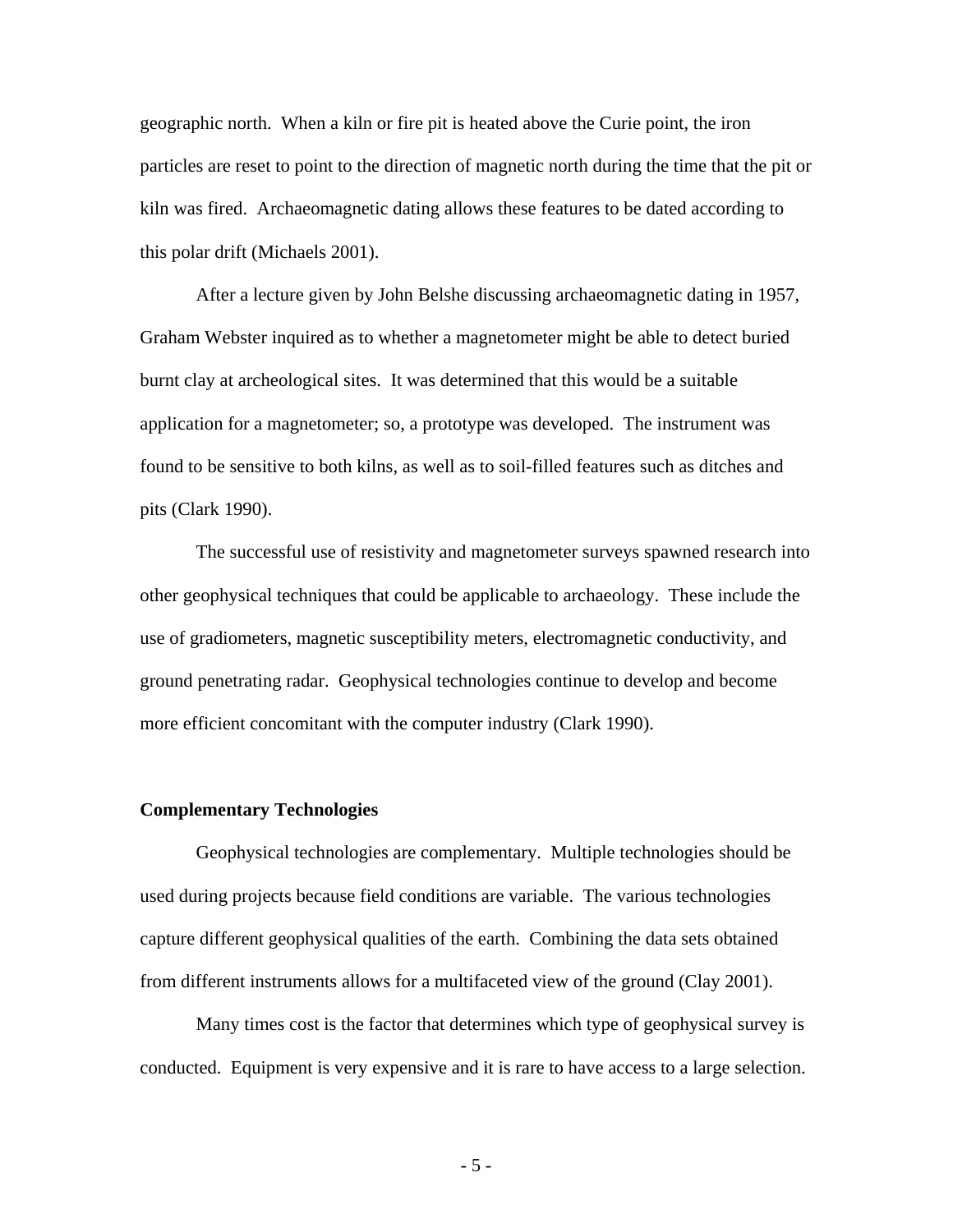geographic north. When a kiln or fire pit is heated above the Curie point, the iron particles are reset to point to the direction of magnetic north during the time that the pit or kiln was fired. Archaeomagnetic dating allows these features to be dated according to this polar drift (Michaels 2001).

 After a lecture given by John Belshe discussing archaeomagnetic dating in 1957, Graham Webster inquired as to whether a magnetometer might be able to detect buried burnt clay at archeological sites. It was determined that this would be a suitable application for a magnetometer; so, a prototype was developed. The instrument was found to be sensitive to both kilns, as well as to soil-filled features such as ditches and pits (Clark 1990).

 The successful use of resistivity and magnetometer surveys spawned research into other geophysical techniques that could be applicable to archaeology. These include the use of gradiometers, magnetic susceptibility meters, electromagnetic conductivity, and ground penetrating radar. Geophysical technologies continue to develop and become more efficient concomitant with the computer industry (Clark 1990).

#### **Complementary Technologies**

Geophysical technologies are complementary. Multiple technologies should be used during projects because field conditions are variable. The various technologies capture different geophysical qualities of the earth. Combining the data sets obtained from different instruments allows for a multifaceted view of the ground (Clay 2001).

Many times cost is the factor that determines which type of geophysical survey is conducted. Equipment is very expensive and it is rare to have access to a large selection.

- 5 -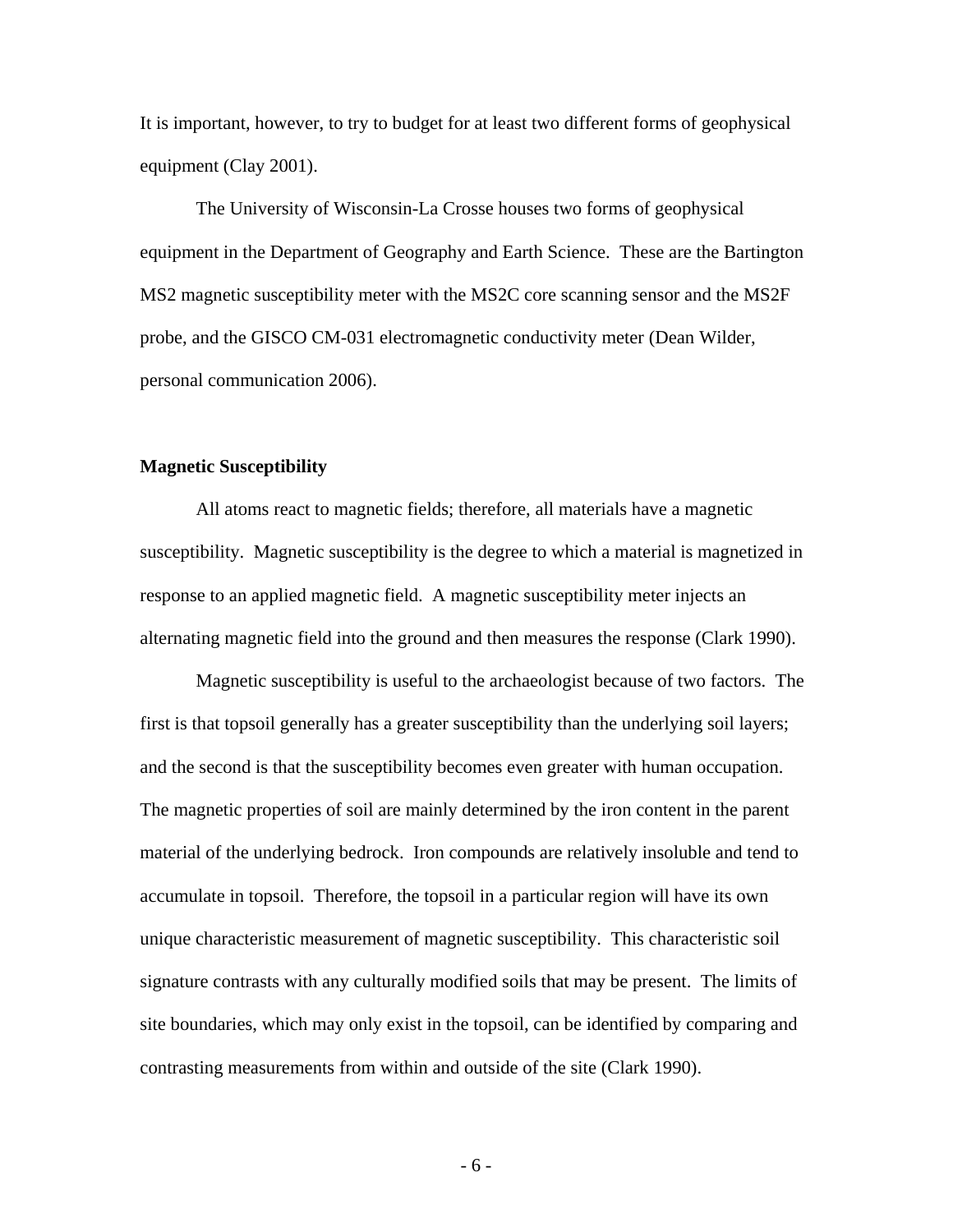It is important, however, to try to budget for at least two different forms of geophysical equipment (Clay 2001).

The University of Wisconsin-La Crosse houses two forms of geophysical equipment in the Department of Geography and Earth Science. These are the Bartington MS2 magnetic susceptibility meter with the MS2C core scanning sensor and the MS2F probe, and the GISCO CM-031 electromagnetic conductivity meter (Dean Wilder, personal communication 2006).

## **Magnetic Susceptibility**

 All atoms react to magnetic fields; therefore, all materials have a magnetic susceptibility. Magnetic susceptibility is the degree to which a material is magnetized in response to an applied magnetic field. A magnetic susceptibility meter injects an alternating magnetic field into the ground and then measures the response (Clark 1990).

 Magnetic susceptibility is useful to the archaeologist because of two factors. The first is that topsoil generally has a greater susceptibility than the underlying soil layers; and the second is that the susceptibility becomes even greater with human occupation. The magnetic properties of soil are mainly determined by the iron content in the parent material of the underlying bedrock. Iron compounds are relatively insoluble and tend to accumulate in topsoil. Therefore, the topsoil in a particular region will have its own unique characteristic measurement of magnetic susceptibility. This characteristic soil signature contrasts with any culturally modified soils that may be present. The limits of site boundaries, which may only exist in the topsoil, can be identified by comparing and contrasting measurements from within and outside of the site (Clark 1990).

- 6 -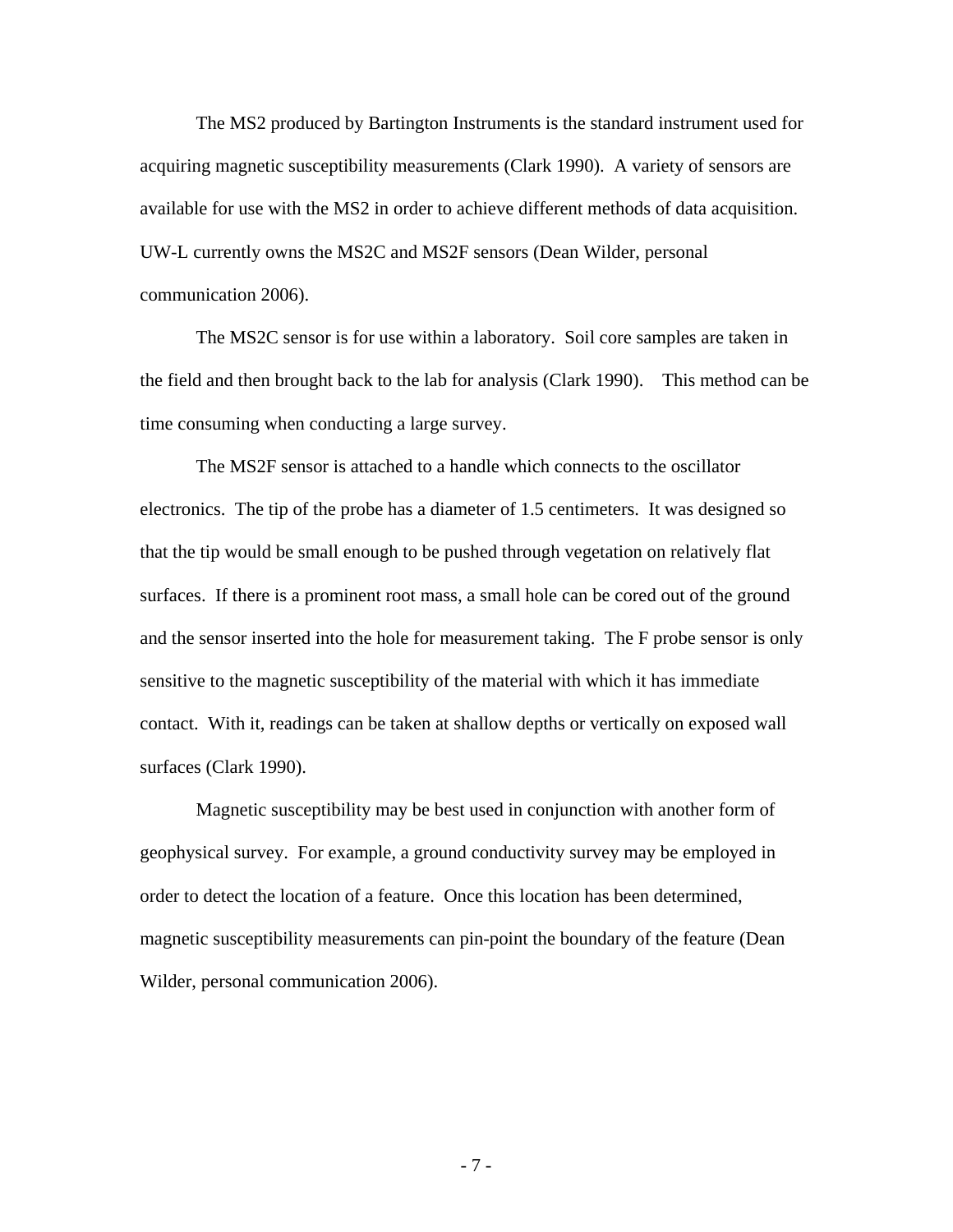The MS2 produced by Bartington Instruments is the standard instrument used for acquiring magnetic susceptibility measurements (Clark 1990). A variety of sensors are available for use with the MS2 in order to achieve different methods of data acquisition. UW-L currently owns the MS2C and MS2F sensors (Dean Wilder, personal communication 2006).

 The MS2C sensor is for use within a laboratory. Soil core samples are taken in the field and then brought back to the lab for analysis (Clark 1990). This method can be time consuming when conducting a large survey.

The MS2F sensor is attached to a handle which connects to the oscillator electronics. The tip of the probe has a diameter of 1.5 centimeters. It was designed so that the tip would be small enough to be pushed through vegetation on relatively flat surfaces. If there is a prominent root mass, a small hole can be cored out of the ground and the sensor inserted into the hole for measurement taking. The F probe sensor is only sensitive to the magnetic susceptibility of the material with which it has immediate contact. With it, readings can be taken at shallow depths or vertically on exposed wall surfaces (Clark 1990).

Magnetic susceptibility may be best used in conjunction with another form of geophysical survey. For example, a ground conductivity survey may be employed in order to detect the location of a feature. Once this location has been determined, magnetic susceptibility measurements can pin-point the boundary of the feature (Dean Wilder, personal communication 2006).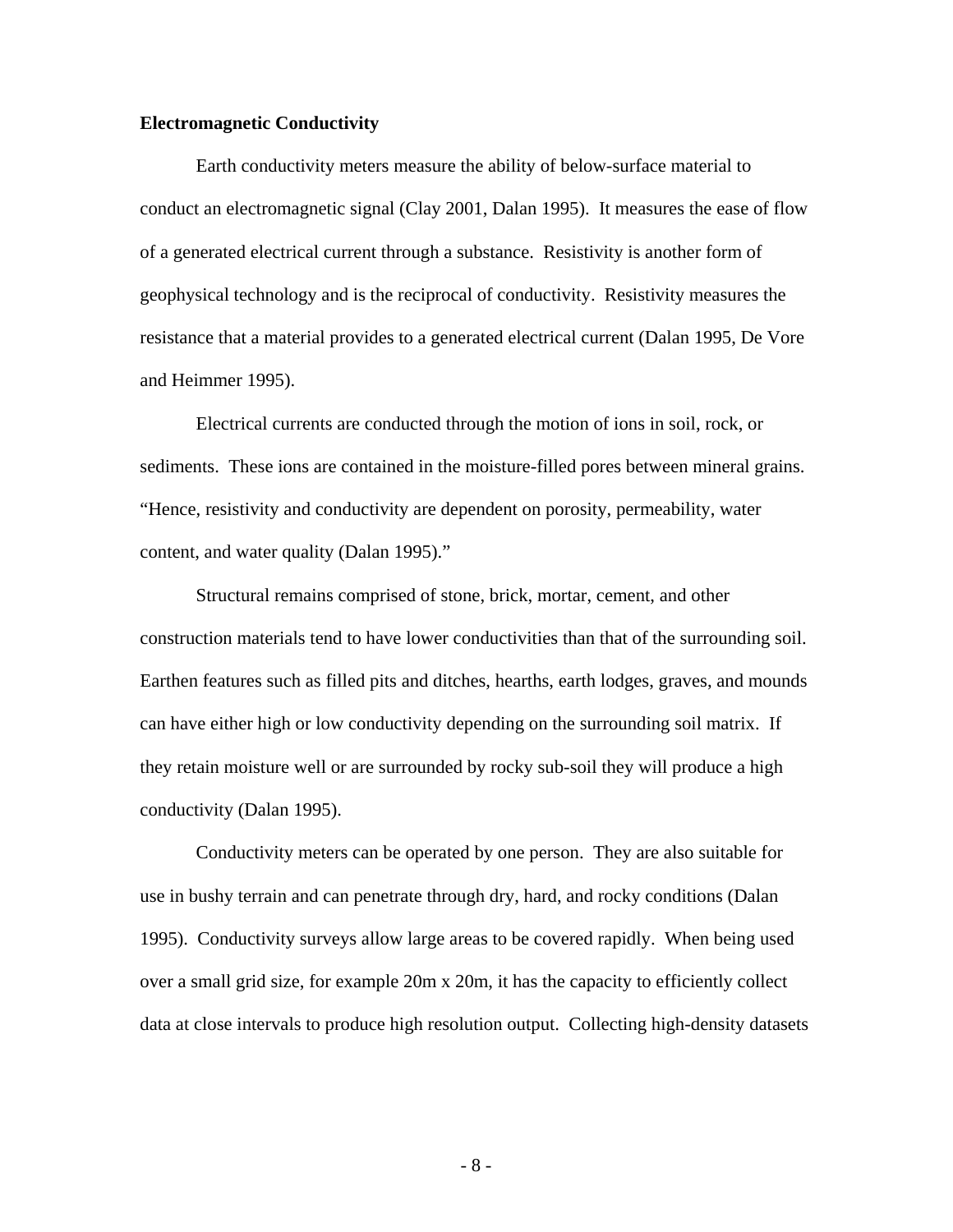#### **Electromagnetic Conductivity**

Earth conductivity meters measure the ability of below-surface material to conduct an electromagnetic signal (Clay 2001, Dalan 1995). It measures the ease of flow of a generated electrical current through a substance. Resistivity is another form of geophysical technology and is the reciprocal of conductivity. Resistivity measures the resistance that a material provides to a generated electrical current (Dalan 1995, De Vore and Heimmer 1995).

 Electrical currents are conducted through the motion of ions in soil, rock, or sediments. These ions are contained in the moisture-filled pores between mineral grains. "Hence, resistivity and conductivity are dependent on porosity, permeability, water content, and water quality (Dalan 1995)."

 Structural remains comprised of stone, brick, mortar, cement, and other construction materials tend to have lower conductivities than that of the surrounding soil. Earthen features such as filled pits and ditches, hearths, earth lodges, graves, and mounds can have either high or low conductivity depending on the surrounding soil matrix. If they retain moisture well or are surrounded by rocky sub-soil they will produce a high conductivity (Dalan 1995).

 Conductivity meters can be operated by one person. They are also suitable for use in bushy terrain and can penetrate through dry, hard, and rocky conditions (Dalan 1995). Conductivity surveys allow large areas to be covered rapidly. When being used over a small grid size, for example 20m x 20m, it has the capacity to efficiently collect data at close intervals to produce high resolution output. Collecting high-density datasets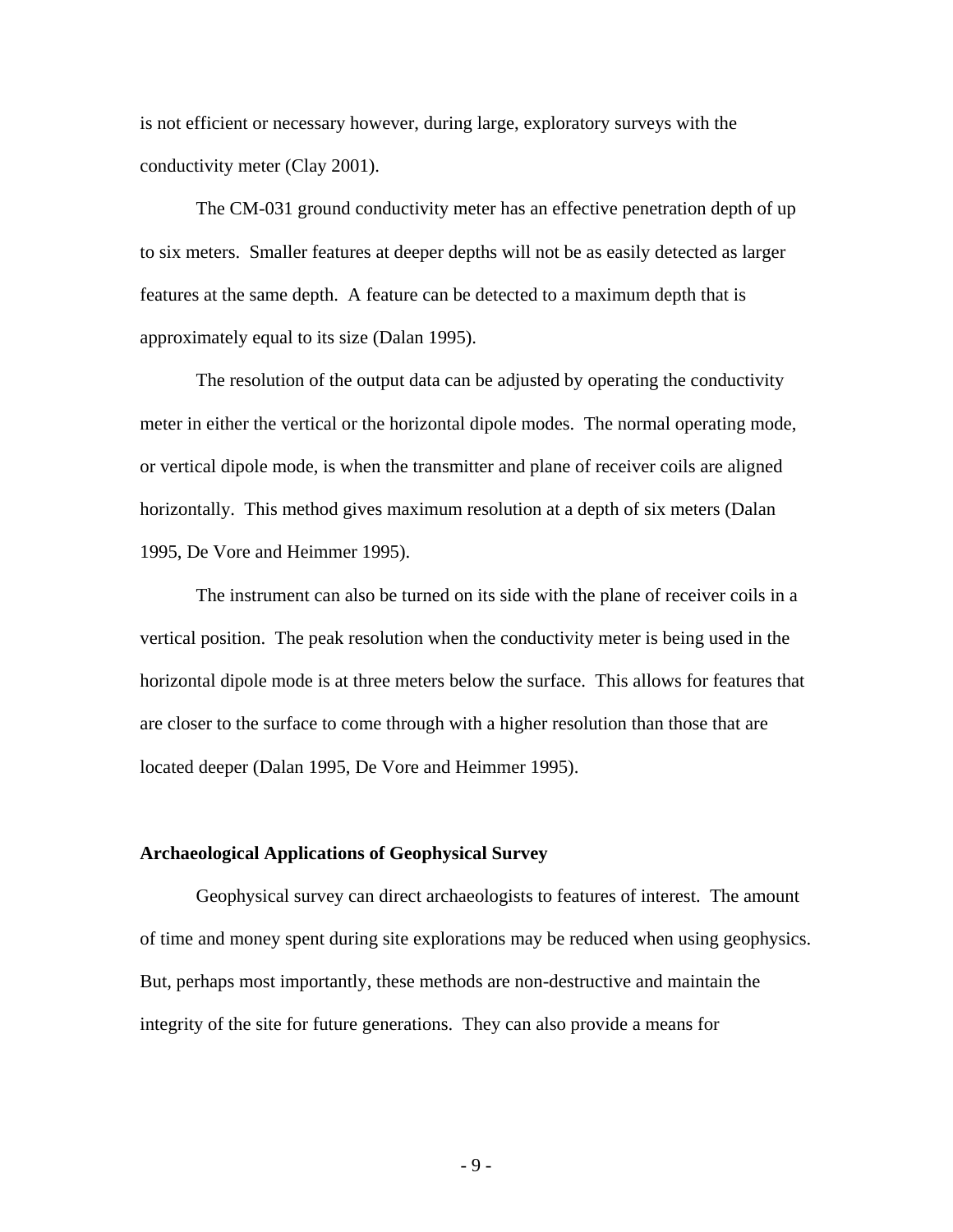is not efficient or necessary however, during large, exploratory surveys with the conductivity meter (Clay 2001).

 The CM-031 ground conductivity meter has an effective penetration depth of up to six meters. Smaller features at deeper depths will not be as easily detected as larger features at the same depth. A feature can be detected to a maximum depth that is approximately equal to its size (Dalan 1995).

 The resolution of the output data can be adjusted by operating the conductivity meter in either the vertical or the horizontal dipole modes. The normal operating mode, or vertical dipole mode, is when the transmitter and plane of receiver coils are aligned horizontally. This method gives maximum resolution at a depth of six meters (Dalan 1995, De Vore and Heimmer 1995).

 The instrument can also be turned on its side with the plane of receiver coils in a vertical position. The peak resolution when the conductivity meter is being used in the horizontal dipole mode is at three meters below the surface. This allows for features that are closer to the surface to come through with a higher resolution than those that are located deeper (Dalan 1995, De Vore and Heimmer 1995).

#### **Archaeological Applications of Geophysical Survey**

Geophysical survey can direct archaeologists to features of interest. The amount of time and money spent during site explorations may be reduced when using geophysics. But, perhaps most importantly, these methods are non-destructive and maintain the integrity of the site for future generations. They can also provide a means for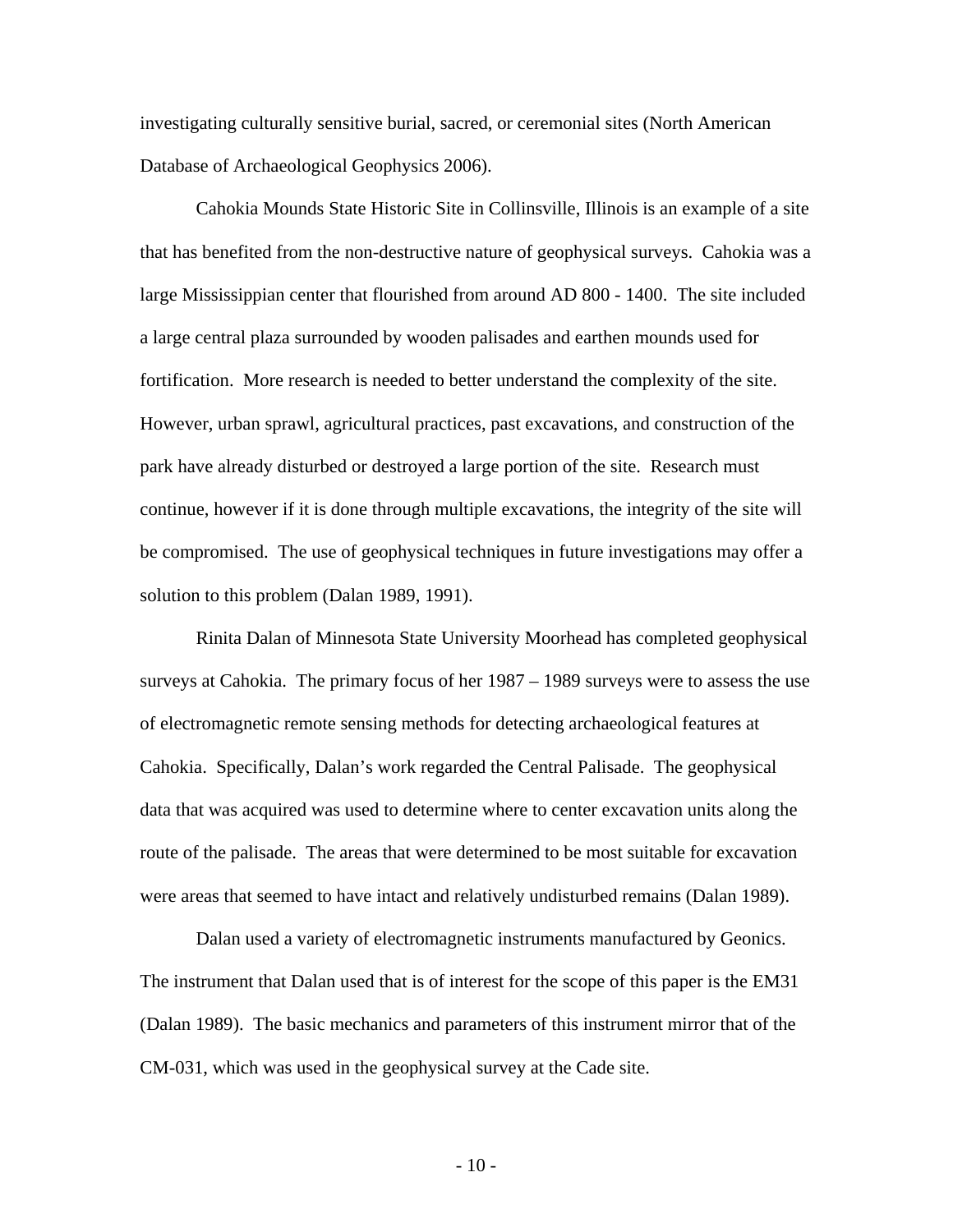investigating culturally sensitive burial, sacred, or ceremonial sites (North American Database of Archaeological Geophysics 2006).

 Cahokia Mounds State Historic Site in Collinsville, Illinois is an example of a site that has benefited from the non-destructive nature of geophysical surveys. Cahokia was a large Mississippian center that flourished from around AD 800 - 1400. The site included a large central plaza surrounded by wooden palisades and earthen mounds used for fortification. More research is needed to better understand the complexity of the site. However, urban sprawl, agricultural practices, past excavations, and construction of the park have already disturbed or destroyed a large portion of the site. Research must continue, however if it is done through multiple excavations, the integrity of the site will be compromised. The use of geophysical techniques in future investigations may offer a solution to this problem (Dalan 1989, 1991).

 Rinita Dalan of Minnesota State University Moorhead has completed geophysical surveys at Cahokia. The primary focus of her 1987 – 1989 surveys were to assess the use of electromagnetic remote sensing methods for detecting archaeological features at Cahokia. Specifically, Dalan's work regarded the Central Palisade. The geophysical data that was acquired was used to determine where to center excavation units along the route of the palisade. The areas that were determined to be most suitable for excavation were areas that seemed to have intact and relatively undisturbed remains (Dalan 1989).

 Dalan used a variety of electromagnetic instruments manufactured by Geonics. The instrument that Dalan used that is of interest for the scope of this paper is the EM31 (Dalan 1989). The basic mechanics and parameters of this instrument mirror that of the CM-031, which was used in the geophysical survey at the Cade site.

 $-10-$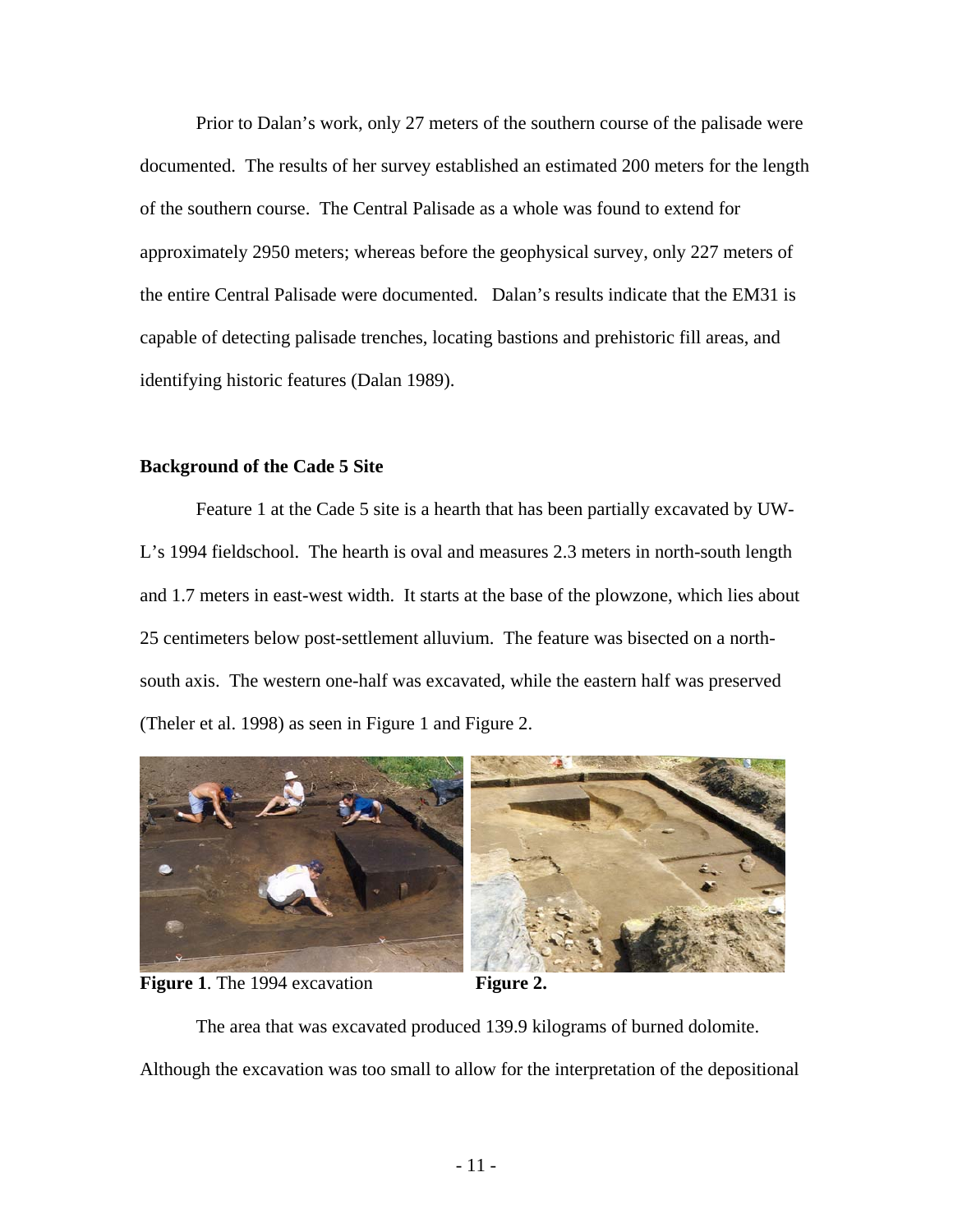Prior to Dalan's work, only 27 meters of the southern course of the palisade were documented. The results of her survey established an estimated 200 meters for the length of the southern course. The Central Palisade as a whole was found to extend for approximately 2950 meters; whereas before the geophysical survey, only 227 meters of the entire Central Palisade were documented. Dalan's results indicate that the EM31 is capable of detecting palisade trenches, locating bastions and prehistoric fill areas, and identifying historic features (Dalan 1989).

## **Background of the Cade 5 Site**

 Feature 1 at the Cade 5 site is a hearth that has been partially excavated by UW-L's 1994 fieldschool. The hearth is oval and measures 2.3 meters in north-south length and 1.7 meters in east-west width. It starts at the base of the plowzone, which lies about 25 centimeters below post-settlement alluvium. The feature was bisected on a northsouth axis. The western one-half was excavated, while the eastern half was preserved (Theler et al. 1998) as seen in Figure 1 and Figure 2.



**Figure 1.** The 1994 excavation **Figure 2.** 

The area that was excavated produced 139.9 kilograms of burned dolomite.

Although the excavation was too small to allow for the interpretation of the depositional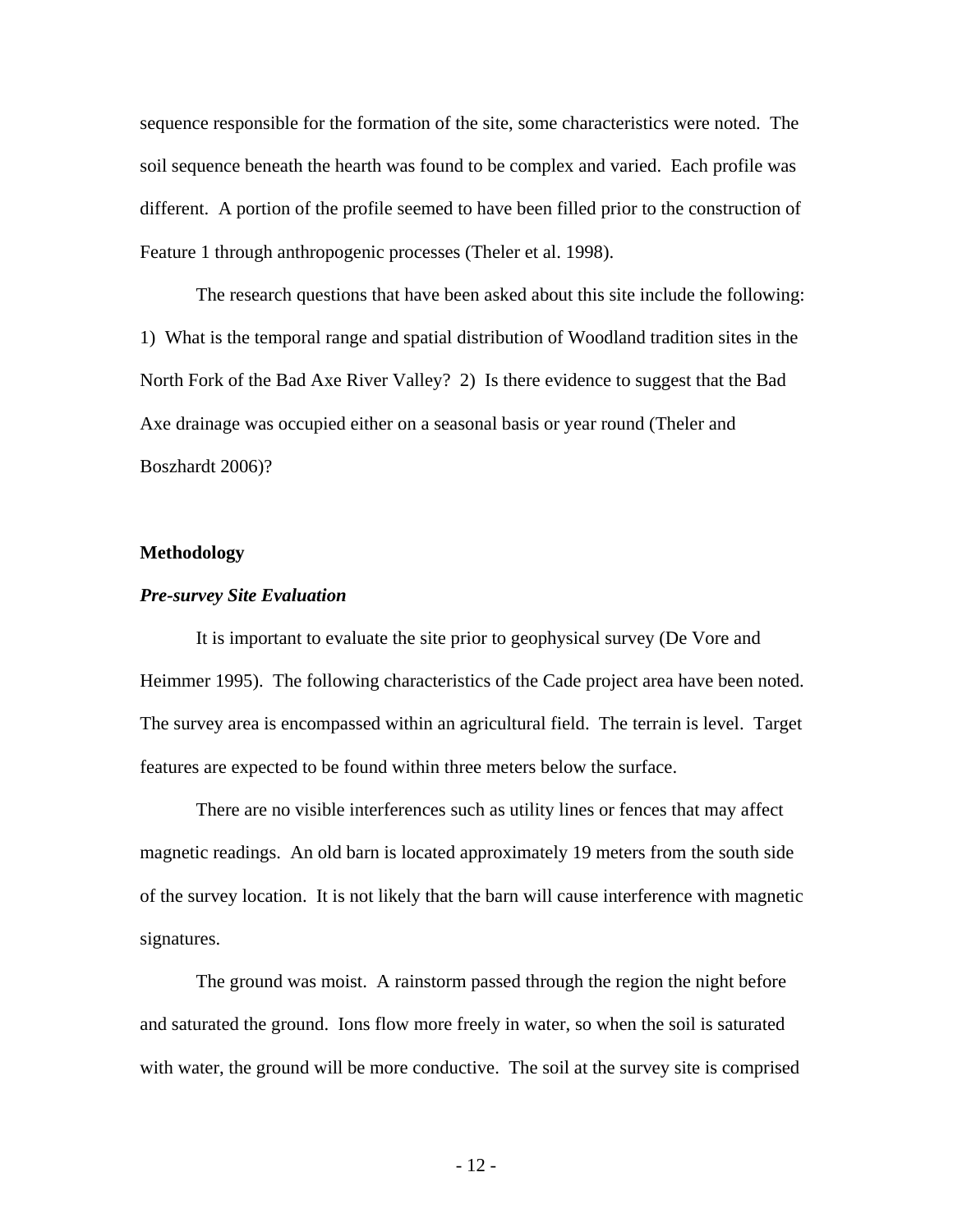sequence responsible for the formation of the site, some characteristics were noted. The soil sequence beneath the hearth was found to be complex and varied. Each profile was different. A portion of the profile seemed to have been filled prior to the construction of Feature 1 through anthropogenic processes (Theler et al. 1998).

The research questions that have been asked about this site include the following: 1) What is the temporal range and spatial distribution of Woodland tradition sites in the North Fork of the Bad Axe River Valley? 2) Is there evidence to suggest that the Bad Axe drainage was occupied either on a seasonal basis or year round (Theler and Boszhardt 2006)?

#### **Methodology**

#### *Pre-survey Site Evaluation*

It is important to evaluate the site prior to geophysical survey (De Vore and Heimmer 1995). The following characteristics of the Cade project area have been noted. The survey area is encompassed within an agricultural field. The terrain is level. Target features are expected to be found within three meters below the surface.

There are no visible interferences such as utility lines or fences that may affect magnetic readings. An old barn is located approximately 19 meters from the south side of the survey location. It is not likely that the barn will cause interference with magnetic signatures.

The ground was moist. A rainstorm passed through the region the night before and saturated the ground. Ions flow more freely in water, so when the soil is saturated with water, the ground will be more conductive. The soil at the survey site is comprised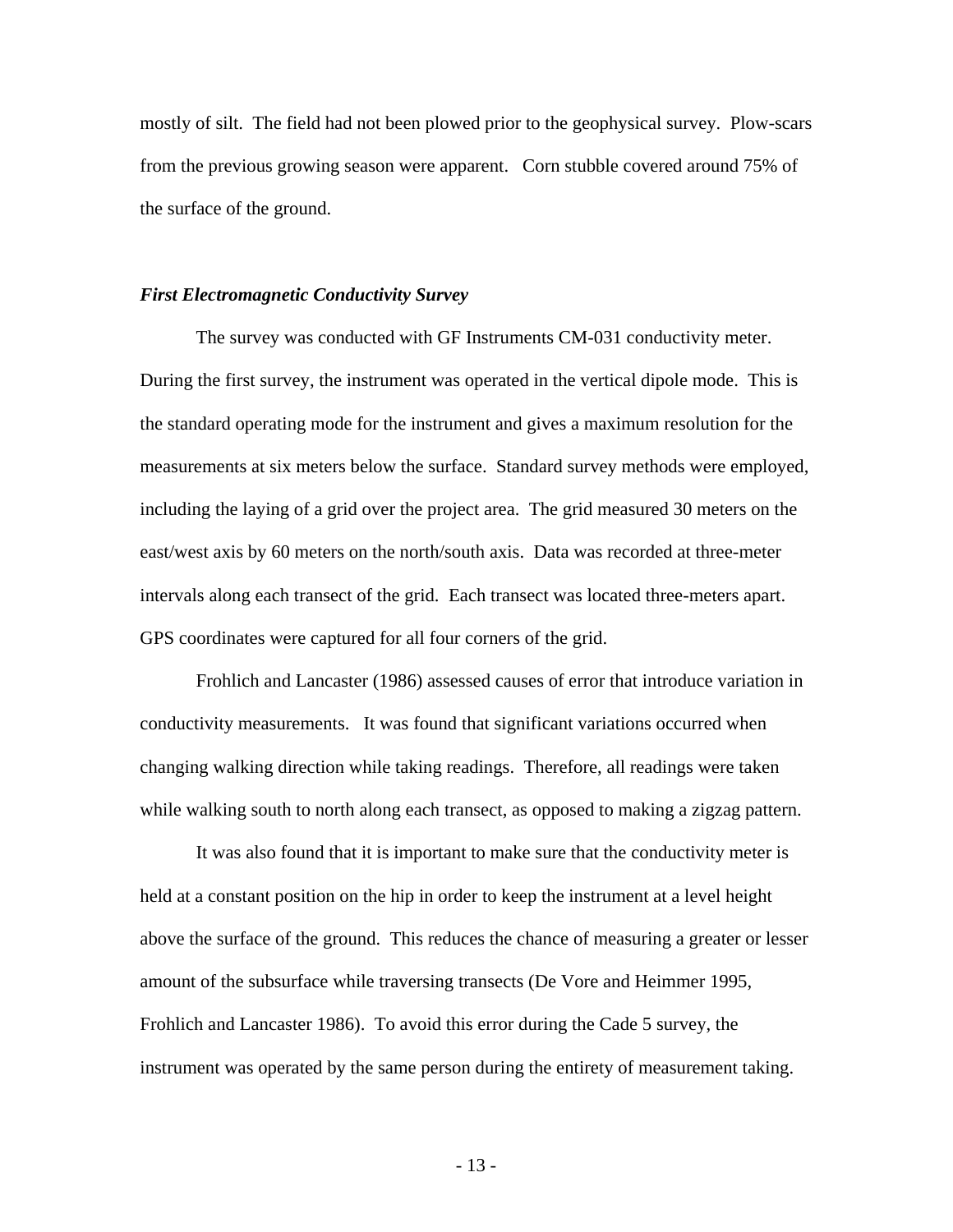mostly of silt. The field had not been plowed prior to the geophysical survey. Plow-scars from the previous growing season were apparent. Corn stubble covered around 75% of the surface of the ground.

#### *First Electromagnetic Conductivity Survey*

The survey was conducted with GF Instruments CM-031 conductivity meter. During the first survey, the instrument was operated in the vertical dipole mode. This is the standard operating mode for the instrument and gives a maximum resolution for the measurements at six meters below the surface. Standard survey methods were employed, including the laying of a grid over the project area. The grid measured 30 meters on the east/west axis by 60 meters on the north/south axis. Data was recorded at three-meter intervals along each transect of the grid. Each transect was located three-meters apart. GPS coordinates were captured for all four corners of the grid.

Frohlich and Lancaster (1986) assessed causes of error that introduce variation in conductivity measurements. It was found that significant variations occurred when changing walking direction while taking readings. Therefore, all readings were taken while walking south to north along each transect, as opposed to making a zigzag pattern.

It was also found that it is important to make sure that the conductivity meter is held at a constant position on the hip in order to keep the instrument at a level height above the surface of the ground. This reduces the chance of measuring a greater or lesser amount of the subsurface while traversing transects (De Vore and Heimmer 1995, Frohlich and Lancaster 1986). To avoid this error during the Cade 5 survey, the instrument was operated by the same person during the entirety of measurement taking.

- 13 -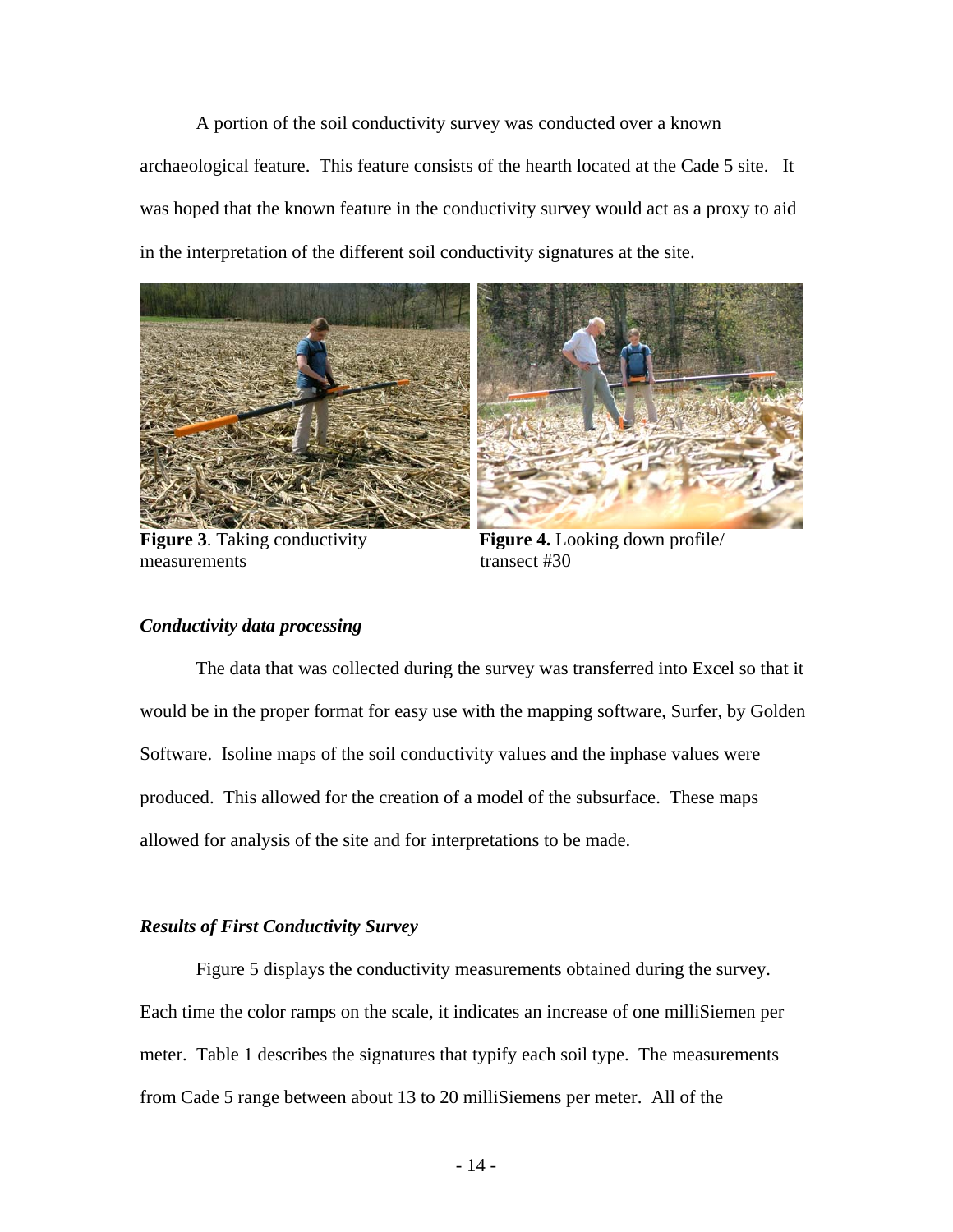A portion of the soil conductivity survey was conducted over a known archaeological feature. This feature consists of the hearth located at the Cade 5 site. It was hoped that the known feature in the conductivity survey would act as a proxy to aid in the interpretation of the different soil conductivity signatures at the site.



measurements transect #30



**Figure 3**. Taking conductivity **Figure 4.** Looking down profile/

## *Conductivity data processing*

The data that was collected during the survey was transferred into Excel so that it would be in the proper format for easy use with the mapping software, Surfer, by Golden Software. Isoline maps of the soil conductivity values and the inphase values were produced. This allowed for the creation of a model of the subsurface. These maps allowed for analysis of the site and for interpretations to be made.

## *Results of First Conductivity Survey*

 Figure 5 displays the conductivity measurements obtained during the survey. Each time the color ramps on the scale, it indicates an increase of one milliSiemen per meter. Table 1 describes the signatures that typify each soil type. The measurements from Cade 5 range between about 13 to 20 milliSiemens per meter. All of the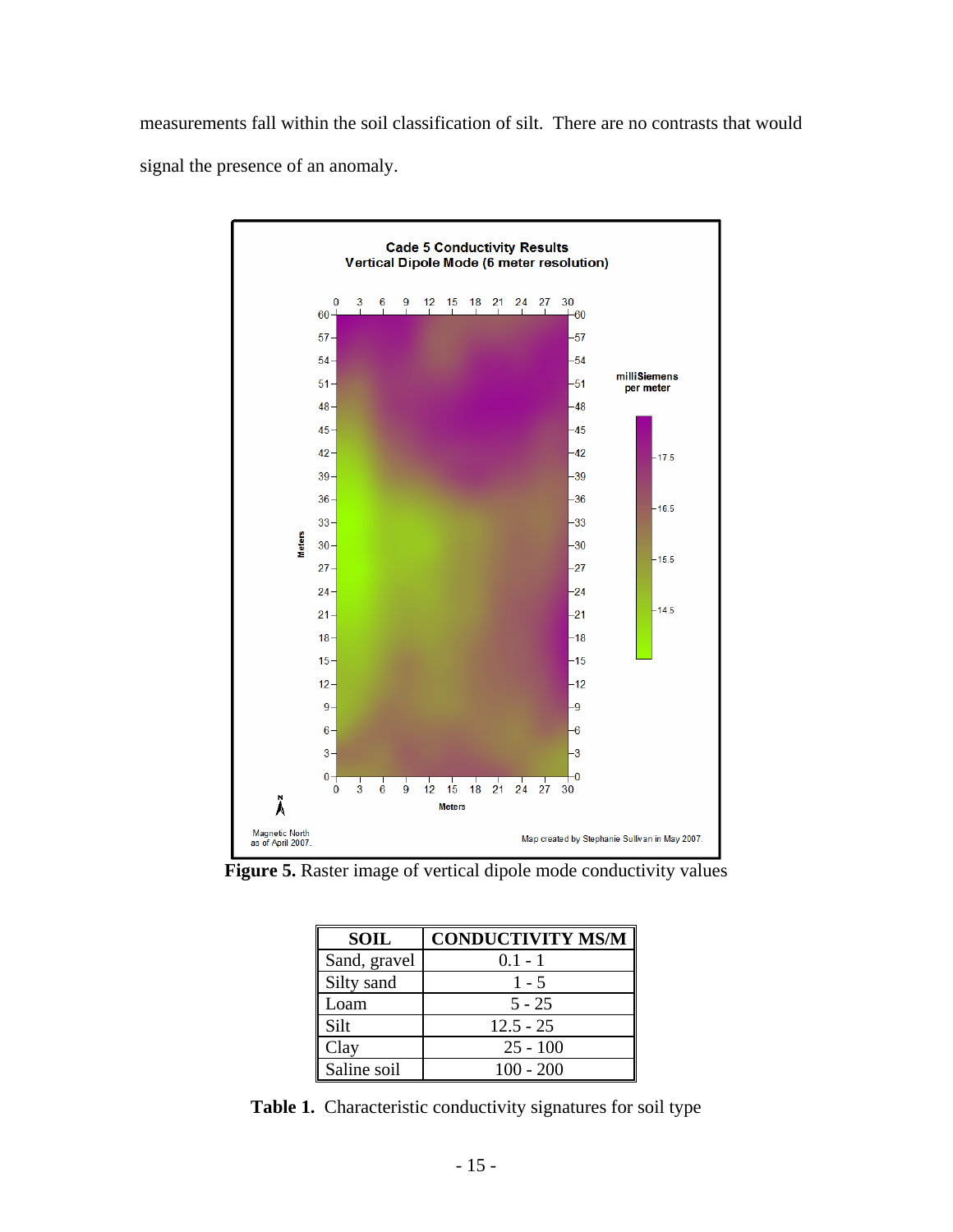measurements fall within the soil classification of silt. There are no contrasts that would signal the presence of an anomaly.



**Figure 5.** Raster image of vertical dipole mode conductivity values

| <b>SOIL</b>  | <b>CONDUCTIVITY MS/M</b> |
|--------------|--------------------------|
| Sand, gravel | $0.1 - 1$                |
| Silty sand   | $1 - 5$                  |
| Loam         | $5 - 25$                 |
| Silt         | $12.5 - 25$              |
| Clay         | $25 - 100$               |
| Saline soil  | $100 - 200$              |

**Table 1.** Characteristic conductivity signatures for soil type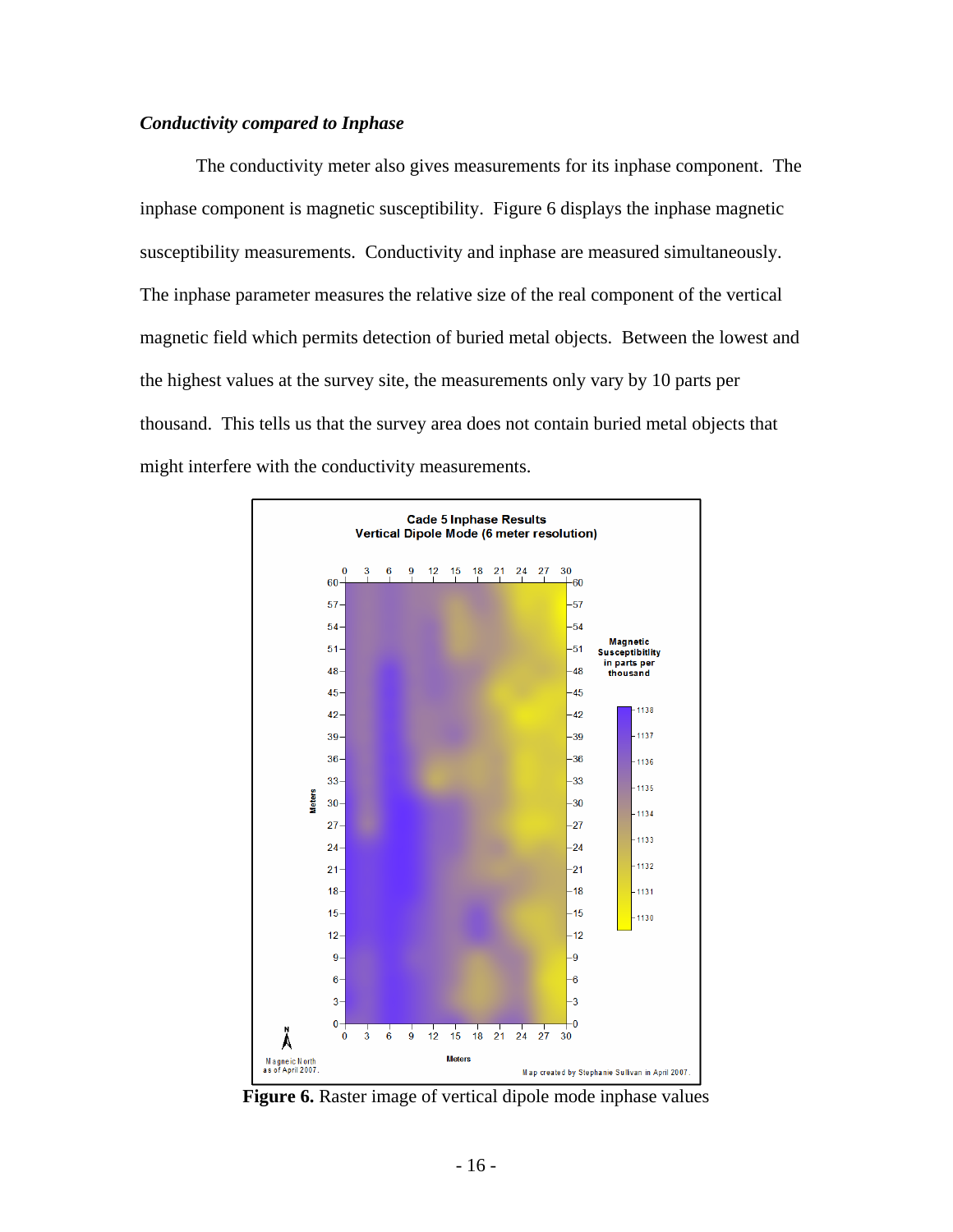## *Conductivity compared to Inphase*

 The conductivity meter also gives measurements for its inphase component. The inphase component is magnetic susceptibility. Figure 6 displays the inphase magnetic susceptibility measurements. Conductivity and inphase are measured simultaneously. The inphase parameter measures the relative size of the real component of the vertical magnetic field which permits detection of buried metal objects. Between the lowest and the highest values at the survey site, the measurements only vary by 10 parts per thousand. This tells us that the survey area does not contain buried metal objects that might interfere with the conductivity measurements.



**Figure 6.** Raster image of vertical dipole mode inphase values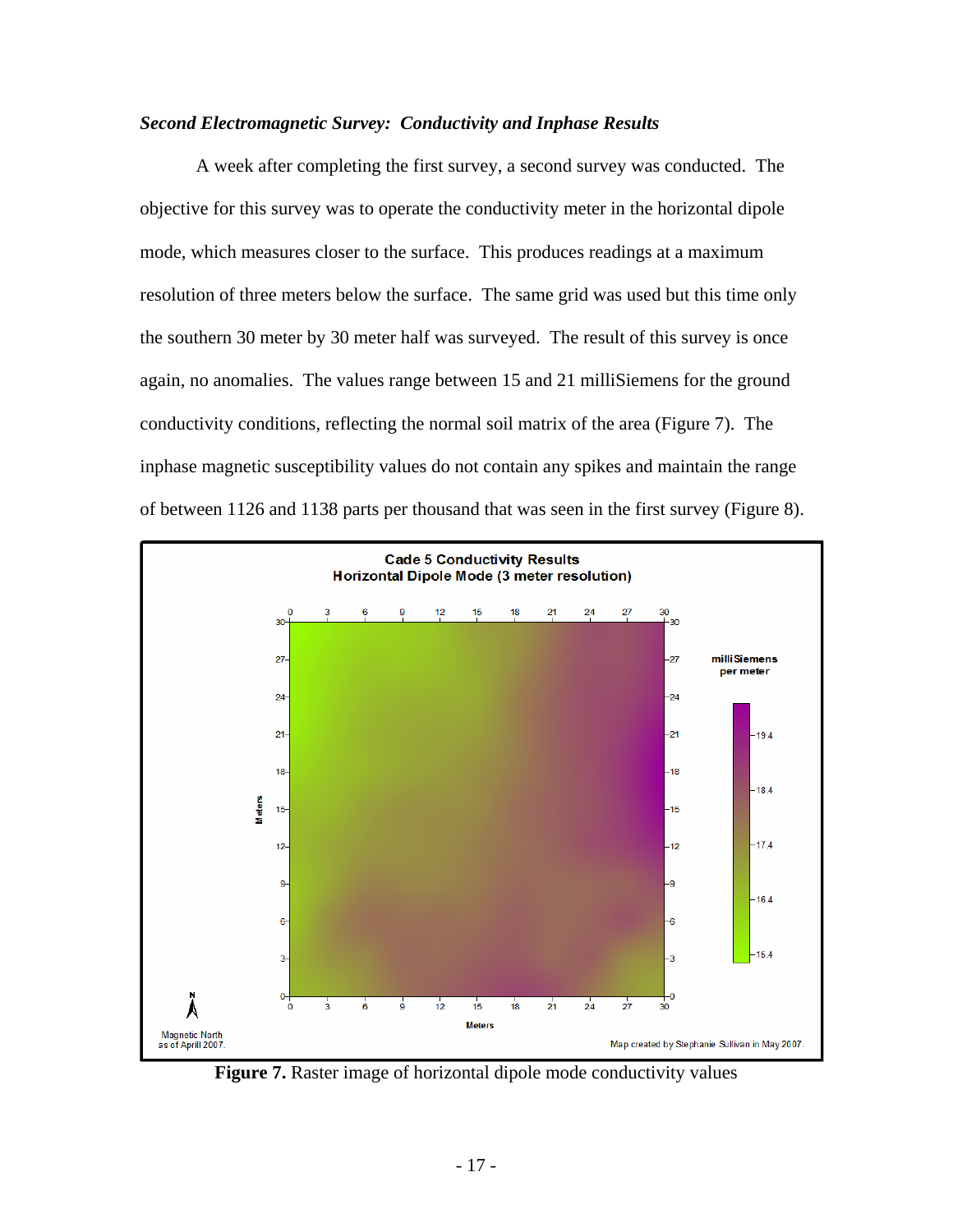## *Second Electromagnetic Survey: Conductivity and Inphase Results*

 A week after completing the first survey, a second survey was conducted. The objective for this survey was to operate the conductivity meter in the horizontal dipole mode, which measures closer to the surface. This produces readings at a maximum resolution of three meters below the surface. The same grid was used but this time only the southern 30 meter by 30 meter half was surveyed. The result of this survey is once again, no anomalies. The values range between 15 and 21 milliSiemens for the ground conductivity conditions, reflecting the normal soil matrix of the area (Figure 7). The inphase magnetic susceptibility values do not contain any spikes and maintain the range of between 1126 and 1138 parts per thousand that was seen in the first survey (Figure 8).



**Figure 7.** Raster image of horizontal dipole mode conductivity values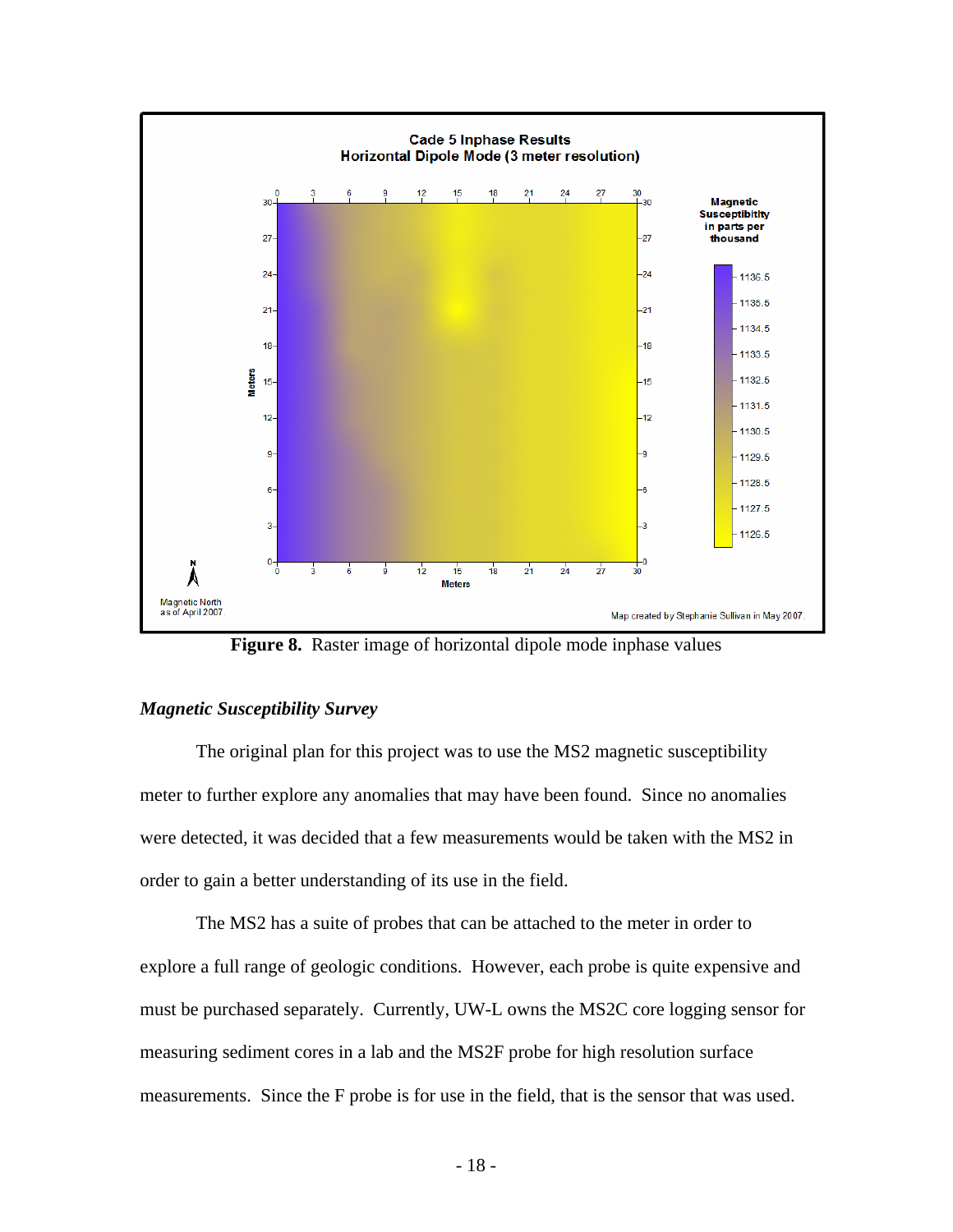

**Figure 8.** Raster image of horizontal dipole mode inphase values

## *Magnetic Susceptibility Survey*

 The original plan for this project was to use the MS2 magnetic susceptibility meter to further explore any anomalies that may have been found. Since no anomalies were detected, it was decided that a few measurements would be taken with the MS2 in order to gain a better understanding of its use in the field.

 The MS2 has a suite of probes that can be attached to the meter in order to explore a full range of geologic conditions. However, each probe is quite expensive and must be purchased separately. Currently, UW-L owns the MS2C core logging sensor for measuring sediment cores in a lab and the MS2F probe for high resolution surface measurements. Since the F probe is for use in the field, that is the sensor that was used.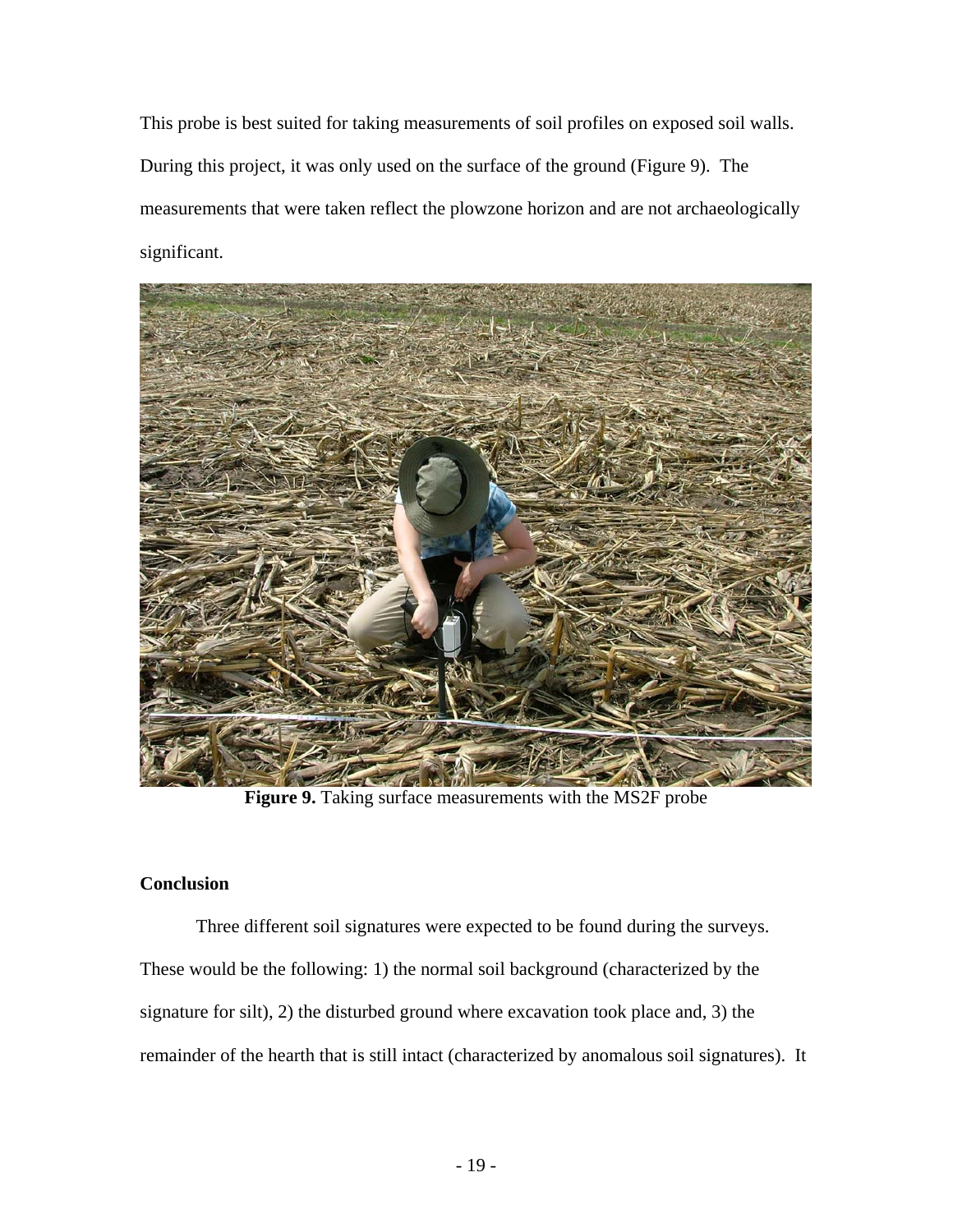This probe is best suited for taking measurements of soil profiles on exposed soil walls. During this project, it was only used on the surface of the ground (Figure 9). The measurements that were taken reflect the plowzone horizon and are not archaeologically significant.



**Figure 9.** Taking surface measurements with the MS2F probe

## **Conclusion**

Three different soil signatures were expected to be found during the surveys. These would be the following: 1) the normal soil background (characterized by the signature for silt), 2) the disturbed ground where excavation took place and, 3) the remainder of the hearth that is still intact (characterized by anomalous soil signatures). It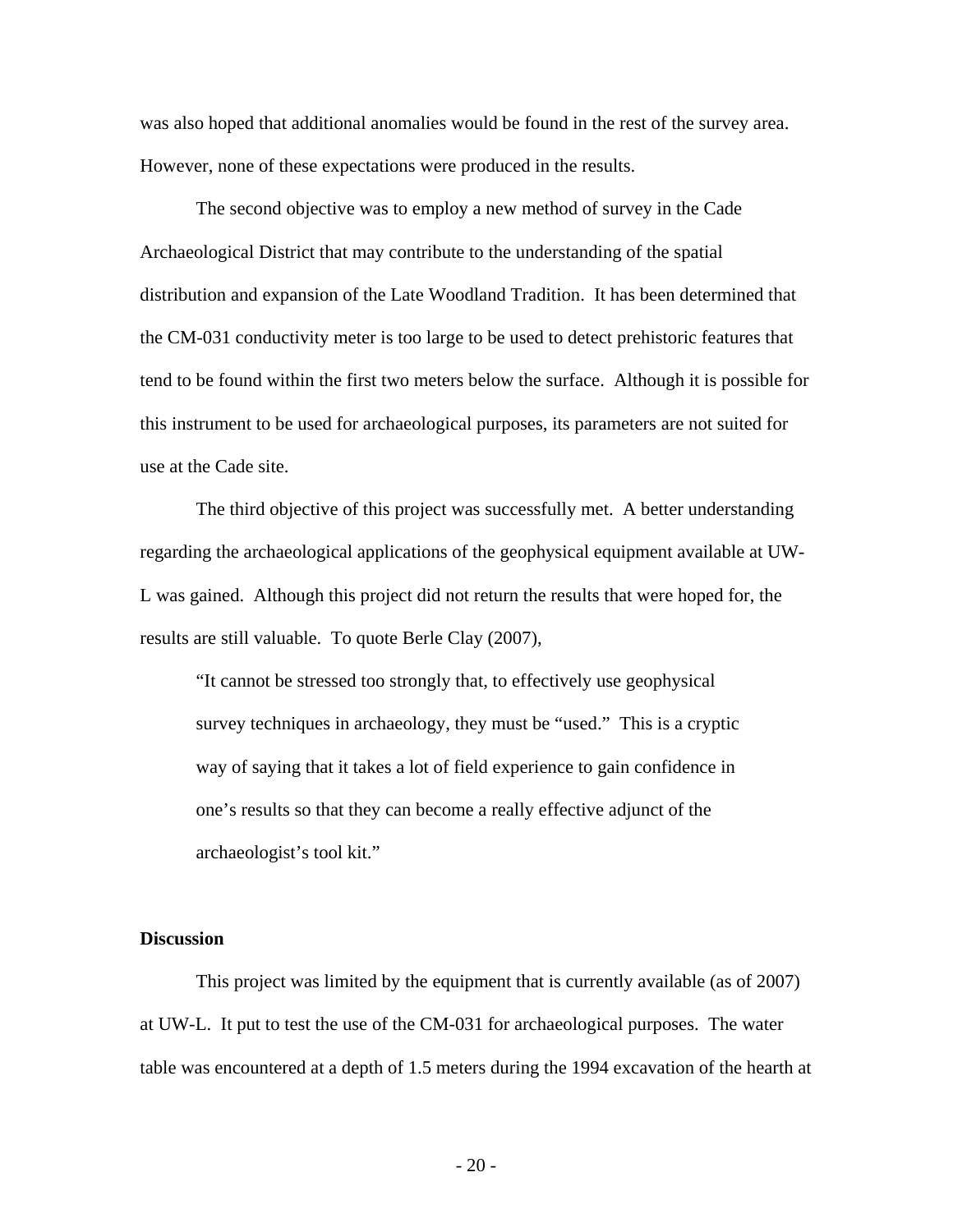was also hoped that additional anomalies would be found in the rest of the survey area. However, none of these expectations were produced in the results.

 The second objective was to employ a new method of survey in the Cade Archaeological District that may contribute to the understanding of the spatial distribution and expansion of the Late Woodland Tradition. It has been determined that the CM-031 conductivity meter is too large to be used to detect prehistoric features that tend to be found within the first two meters below the surface. Although it is possible for this instrument to be used for archaeological purposes, its parameters are not suited for use at the Cade site.

 The third objective of this project was successfully met. A better understanding regarding the archaeological applications of the geophysical equipment available at UW-L was gained. Although this project did not return the results that were hoped for, the results are still valuable. To quote Berle Clay (2007),

"It cannot be stressed too strongly that, to effectively use geophysical survey techniques in archaeology, they must be "used." This is a cryptic way of saying that it takes a lot of field experience to gain confidence in one's results so that they can become a really effective adjunct of the archaeologist's tool kit."

#### **Discussion**

This project was limited by the equipment that is currently available (as of 2007) at UW-L. It put to test the use of the CM-031 for archaeological purposes. The water table was encountered at a depth of 1.5 meters during the 1994 excavation of the hearth at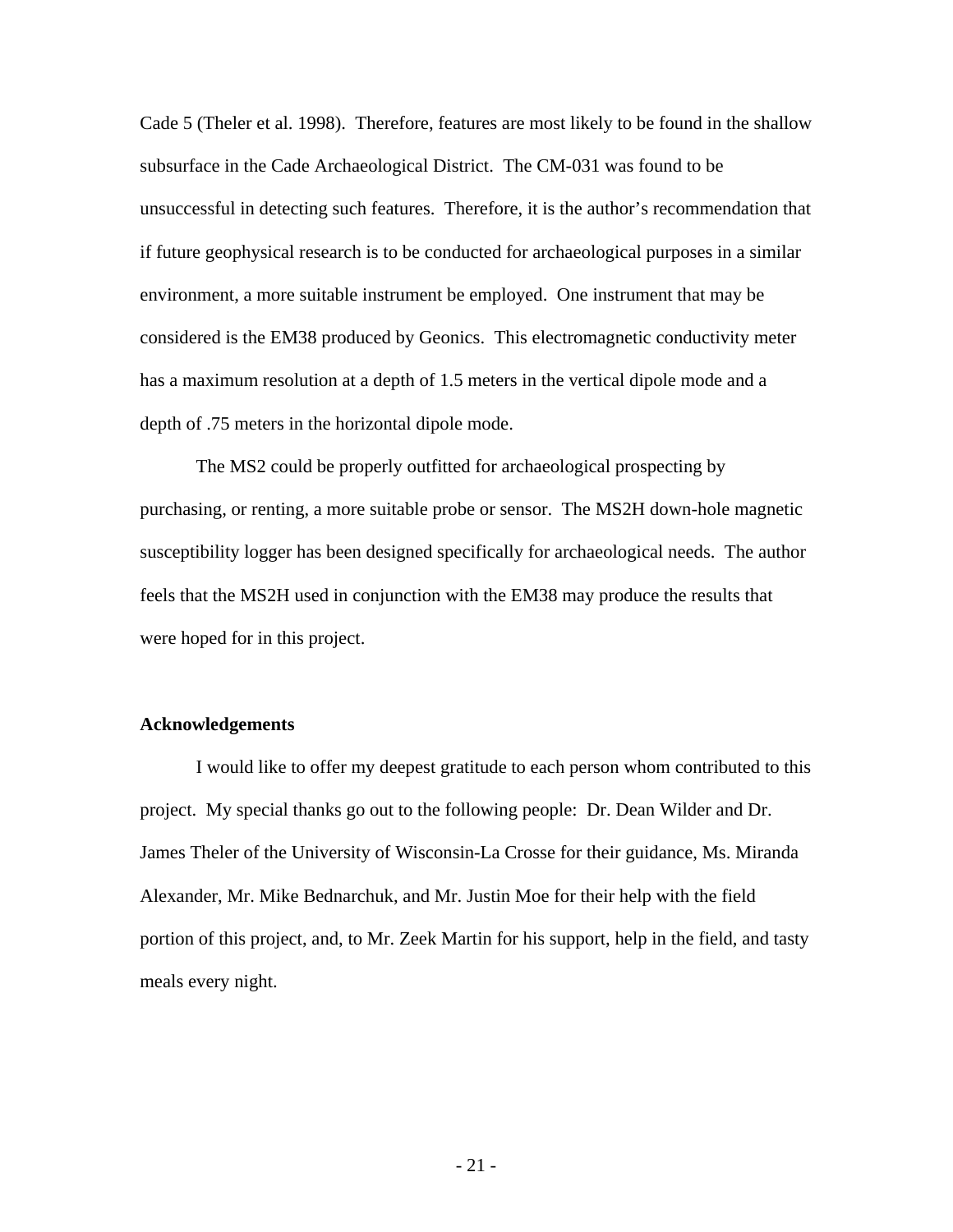Cade 5 (Theler et al. 1998). Therefore, features are most likely to be found in the shallow subsurface in the Cade Archaeological District. The CM-031 was found to be unsuccessful in detecting such features. Therefore, it is the author's recommendation that if future geophysical research is to be conducted for archaeological purposes in a similar environment, a more suitable instrument be employed. One instrument that may be considered is the EM38 produced by Geonics. This electromagnetic conductivity meter has a maximum resolution at a depth of 1.5 meters in the vertical dipole mode and a depth of .75 meters in the horizontal dipole mode.

The MS2 could be properly outfitted for archaeological prospecting by purchasing, or renting, a more suitable probe or sensor. The MS2H down-hole magnetic susceptibility logger has been designed specifically for archaeological needs. The author feels that the MS2H used in conjunction with the EM38 may produce the results that were hoped for in this project.

## **Acknowledgements**

I would like to offer my deepest gratitude to each person whom contributed to this project. My special thanks go out to the following people: Dr. Dean Wilder and Dr. James Theler of the University of Wisconsin-La Crosse for their guidance, Ms. Miranda Alexander, Mr. Mike Bednarchuk, and Mr. Justin Moe for their help with the field portion of this project, and, to Mr. Zeek Martin for his support, help in the field, and tasty meals every night.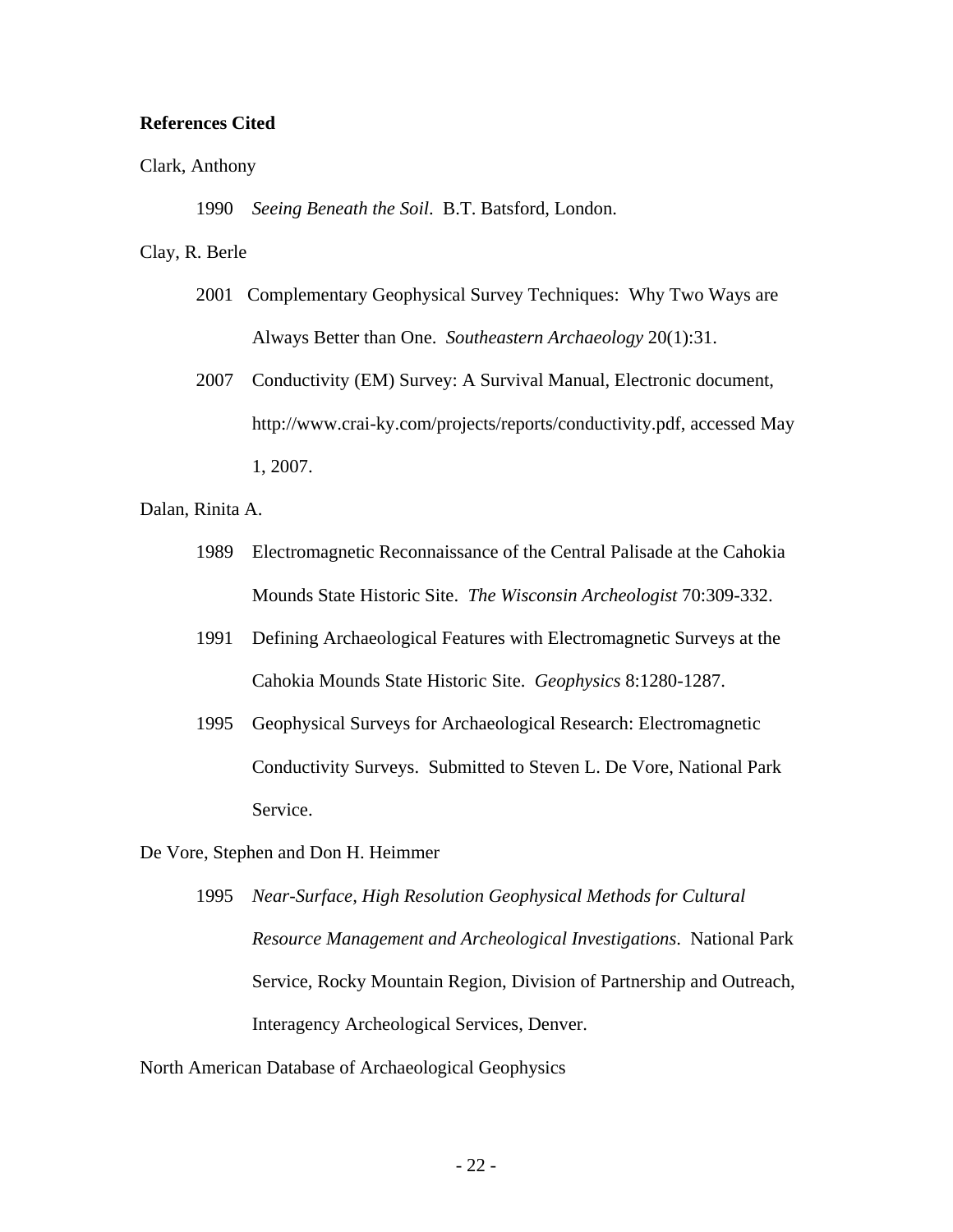## **References Cited**

#### Clark, Anthony

1990 *Seeing Beneath the Soil*. B.T. Batsford, London.

## Clay, R. Berle

- 2001 Complementary Geophysical Survey Techniques: Why Two Ways are Always Better than One. *Southeastern Archaeology* 20(1):31.
- 2007 Conductivity (EM) Survey: A Survival Manual, Electronic document, http://www.crai-ky.com/projects/reports/conductivity.pdf, accessed May 1, 2007.

Dalan, Rinita A.

- 1989 Electromagnetic Reconnaissance of the Central Palisade at the Cahokia Mounds State Historic Site. *The Wisconsin Archeologist* 70:309-332.
- 1991 Defining Archaeological Features with Electromagnetic Surveys at the Cahokia Mounds State Historic Site. *Geophysics* 8:1280-1287.
- 1995 Geophysical Surveys for Archaeological Research: Electromagnetic Conductivity Surveys. Submitted to Steven L. De Vore, National Park **Service**

De Vore, Stephen and Don H. Heimmer

1995 *Near-Surface, High Resolution Geophysical Methods for Cultural Resource Management and Archeological Investigations*. National Park Service, Rocky Mountain Region, Division of Partnership and Outreach, Interagency Archeological Services, Denver.

North American Database of Archaeological Geophysics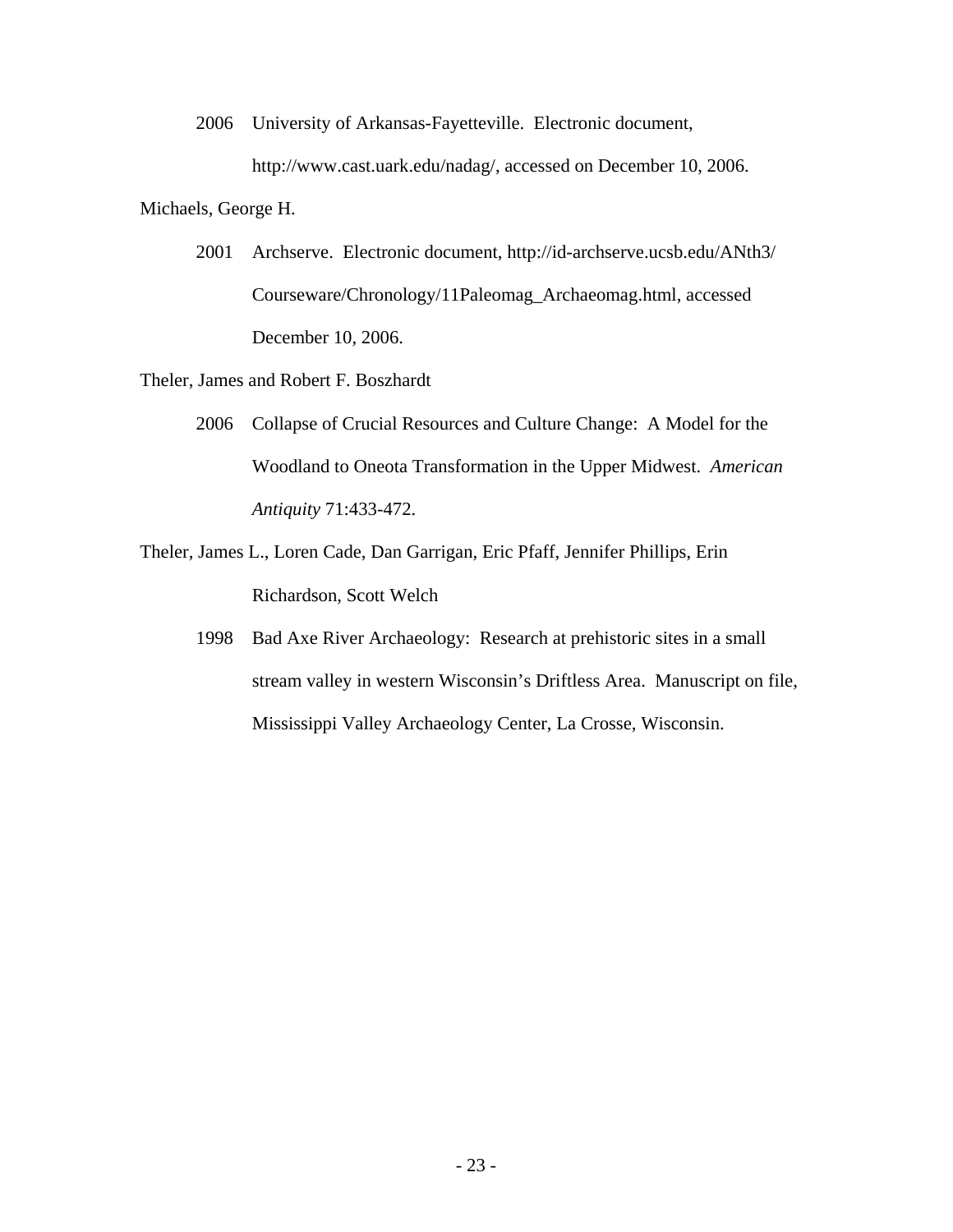2006 University of Arkansas-Fayetteville. Electronic document,

http://www.cast.uark.edu/nadag/, accessed on December 10, 2006.

Michaels, George H.

 2001 Archserve. Electronic document, http://id-archserve.ucsb.edu/ANth3/ Courseware/Chronology/11Paleomag\_Archaeomag.html, accessed December 10, 2006.

Theler, James and Robert F. Boszhardt

- 2006 Collapse of Crucial Resources and Culture Change: A Model for the Woodland to Oneota Transformation in the Upper Midwest. *American Antiquity* 71:433-472.
- Theler, James L., Loren Cade, Dan Garrigan, Eric Pfaff, Jennifer Phillips, Erin Richardson, Scott Welch
	- 1998 Bad Axe River Archaeology: Research at prehistoric sites in a small stream valley in western Wisconsin's Driftless Area. Manuscript on file, Mississippi Valley Archaeology Center, La Crosse, Wisconsin.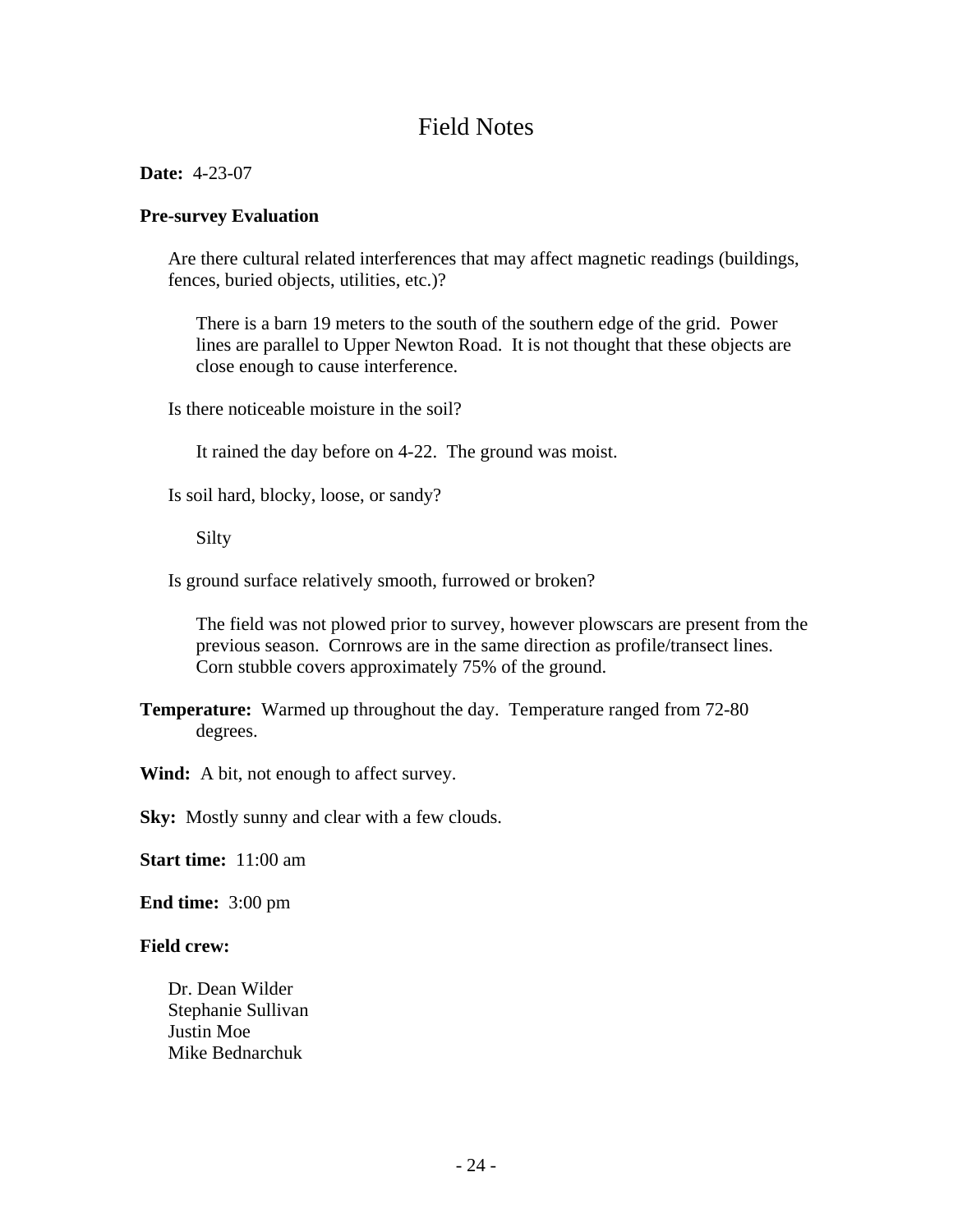# Field Notes

**Date:** 4-23-07

## **Pre-survey Evaluation**

 Are there cultural related interferences that may affect magnetic readings (buildings, fences, buried objects, utilities, etc.)?

 There is a barn 19 meters to the south of the southern edge of the grid. Power lines are parallel to Upper Newton Road. It is not thought that these objects are close enough to cause interference.

Is there noticeable moisture in the soil?

It rained the day before on 4-22. The ground was moist.

Is soil hard, blocky, loose, or sandy?

Silty

Is ground surface relatively smooth, furrowed or broken?

 The field was not plowed prior to survey, however plowscars are present from the previous season. Cornrows are in the same direction as profile/transect lines. Corn stubble covers approximately 75% of the ground.

**Temperature:** Warmed up throughout the day. Temperature ranged from 72-80 degrees.

Wind: A bit, not enough to affect survey.

**Sky:** Mostly sunny and clear with a few clouds.

**Start time:** 11:00 am

**End time:** 3:00 pm

## **Field crew:**

Dr. Dean Wilder Stephanie Sullivan Justin Moe Mike Bednarchuk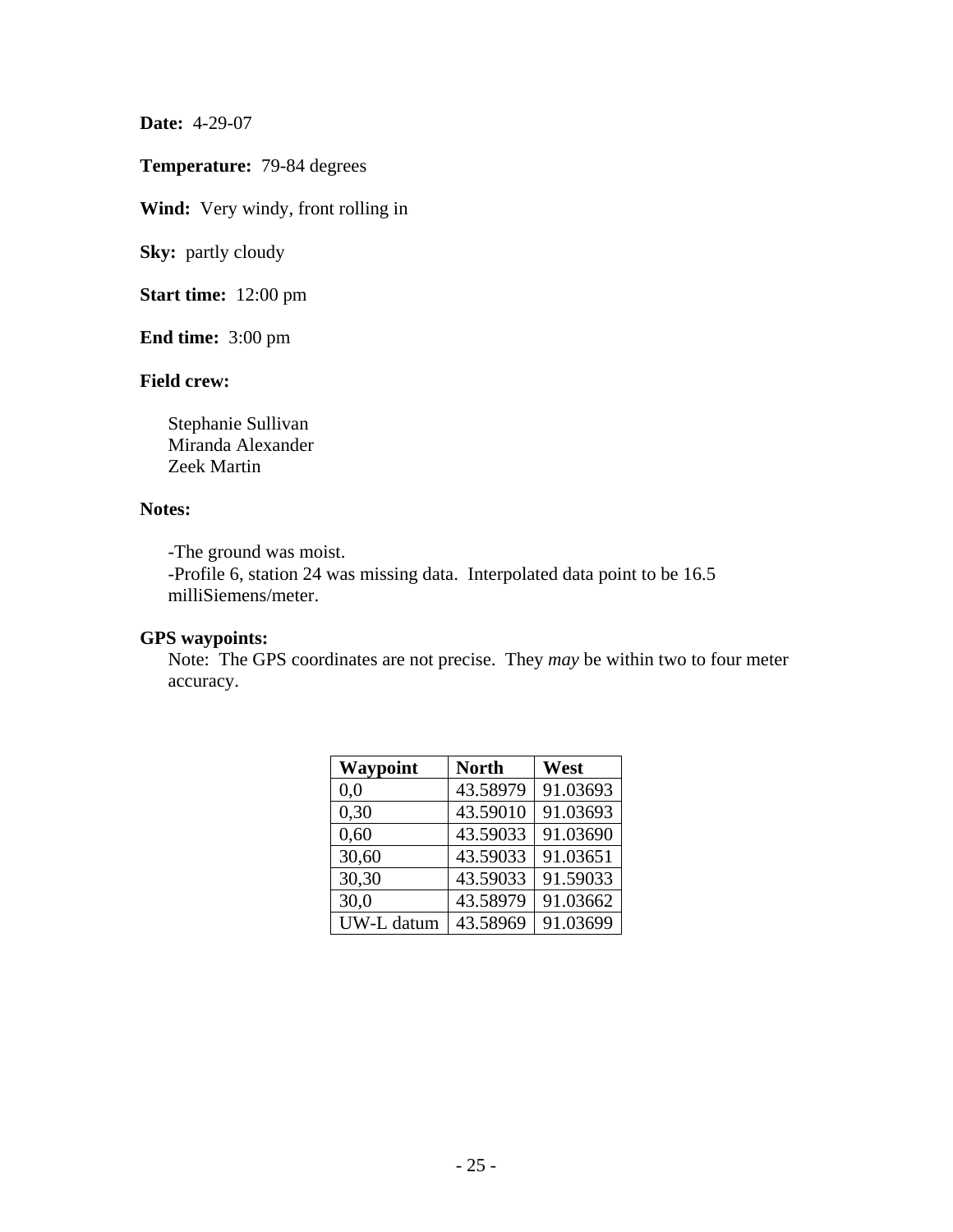**Date:** 4-29-07

**Temperature:** 79-84 degrees

**Wind:** Very windy, front rolling in

**Sky:** partly cloudy

**Start time:** 12:00 pm

**End time:** 3:00 pm

# **Field crew:**

 Stephanie Sullivan Miranda Alexander Zeek Martin

## **Notes:**

-The ground was moist.

 -Profile 6, station 24 was missing data. Interpolated data point to be 16.5 milliSiemens/meter.

## **GPS waypoints:**

 Note: The GPS coordinates are not precise. They *may* be within two to four meter accuracy.

| Waypoint   | <b>North</b> | West     |
|------------|--------------|----------|
| 0.0        | 43.58979     | 91.03693 |
| 0,30       | 43.59010     | 91.03693 |
| 0,60       | 43.59033     | 91.03690 |
| 30,60      | 43.59033     | 91.03651 |
| 30,30      | 43.59033     | 91.59033 |
| 30,0       | 43.58979     | 91.03662 |
| UW-L datum | 43.58969     | 91.03699 |